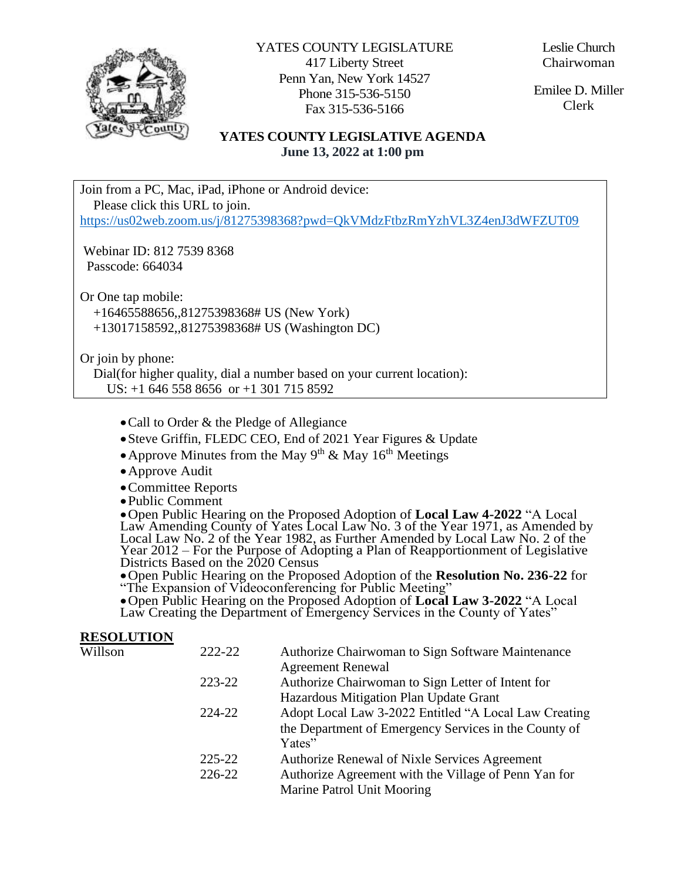

YATES COUNTY LEGISLATURE 417 Liberty Street Penn Yan, New York 14527 Phone 315-536-5150 Fax 315-536-5166

Leslie Church Chairwoman

Emilee D. Miller Clerk

## **YATES COUNTY LEGISLATIVE AGENDA June 13, 2022 at 1:00 pm**

Join from a PC, Mac, iPad, iPhone or Android device: Please click this URL to join. <https://us02web.zoom.us/j/81275398368?pwd=QkVMdzFtbzRmYzhVL3Z4enJ3dWFZUT09>

Webinar ID: 812 7539 8368 Passcode: 664034

Or One tap mobile: +16465588656,,81275398368# US (New York) +13017158592,,81275398368# US (Washington DC)

Or join by phone:

**RESOLUTION** 

 Dial(for higher quality, dial a number based on your current location): US: +1 646 558 8656 or +1 301 715 8592

- Call to Order & the Pledge of Allegiance
- Steve Griffin, FLEDC CEO, End of 2021 Year Figures & Update
- Approve Minutes from the May  $9<sup>th</sup>$  & May  $16<sup>th</sup>$  Meetings
- Approve Audit
- Committee Reports
- Public Comment

Open Public Hearing on the Proposed Adoption of **Local Law 4-2022** "A Local Law Amending County of Yates Local Law No. 3 of the Year 1971, as Amended by Local Law No. 2 of the Year 1982, as Further Amended by Local Law No. 2 of the Year 2012 – For the Purpose of Adopting a Plan of Reapportionment of Legislative Districts Based on the 2020 Census

Open Public Hearing on the Proposed Adoption of the **Resolution No. 236-22** for "The Expansion of Videoconferencing for Public Meeting"

Open Public Hearing on the Proposed Adoption of **Local Law 3-2022** "A Local Law Creating the Department of Emergency Services in the County of Yates"

| <b>RESOLUTION</b> |            |                                                       |
|-------------------|------------|-------------------------------------------------------|
| Willson           | 222-22     | Authorize Chairwoman to Sign Software Maintenance     |
|                   |            | <b>Agreement Renewal</b>                              |
|                   | 223-22     | Authorize Chairwoman to Sign Letter of Intent for     |
|                   |            | Hazardous Mitigation Plan Update Grant                |
|                   | 224-22     | Adopt Local Law 3-2022 Entitled "A Local Law Creating |
|                   |            | the Department of Emergency Services in the County of |
|                   |            | Yates"                                                |
|                   | $225 - 22$ | Authorize Renewal of Nixle Services Agreement         |
|                   | 226-22     | Authorize Agreement with the Village of Penn Yan for  |
|                   |            | Marine Patrol Unit Mooring                            |
|                   |            |                                                       |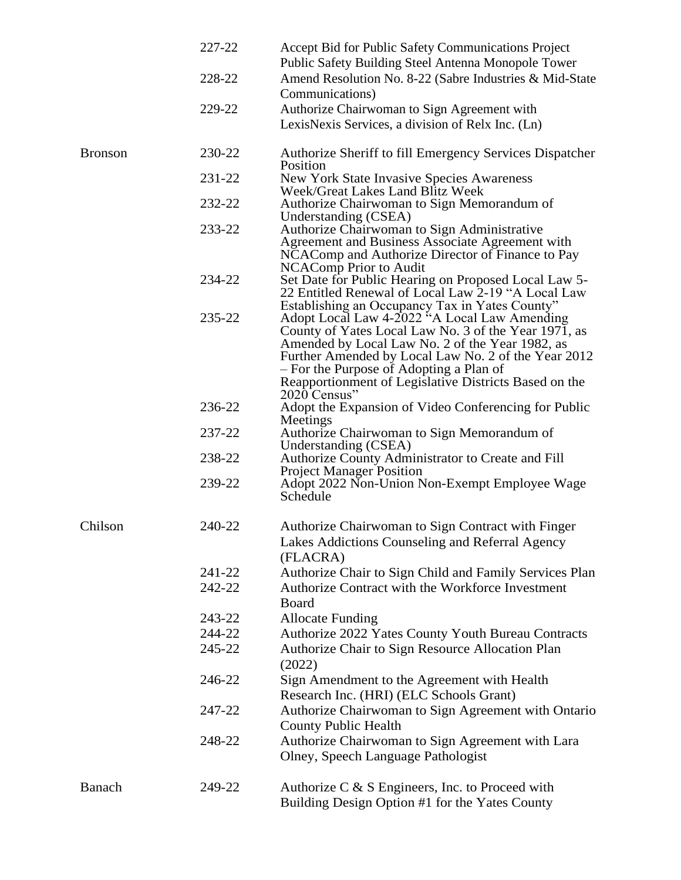|                | 227-22 | Accept Bid for Public Safety Communications Project<br>Public Safety Building Steel Antenna Monopole Tower                                                                                                                                                                                                                         |
|----------------|--------|------------------------------------------------------------------------------------------------------------------------------------------------------------------------------------------------------------------------------------------------------------------------------------------------------------------------------------|
|                | 228-22 | Amend Resolution No. 8-22 (Sabre Industries & Mid-State                                                                                                                                                                                                                                                                            |
|                |        | Communications)                                                                                                                                                                                                                                                                                                                    |
|                | 229-22 | Authorize Chairwoman to Sign Agreement with<br>LexisNexis Services, a division of Relx Inc. (Ln)                                                                                                                                                                                                                                   |
| <b>Bronson</b> | 230-22 | Authorize Sheriff to fill Emergency Services Dispatcher<br>Position                                                                                                                                                                                                                                                                |
|                | 231-22 | New York State Invasive Species Awareness<br>Week/Great Lakes Land Blitz Week                                                                                                                                                                                                                                                      |
|                | 232-22 | Authorize Chairwoman to Sign Memorandum of<br>Understanding (CSEA)                                                                                                                                                                                                                                                                 |
|                | 233-22 | Authorize Chairwoman to Sign Administrative<br>Agreement and Business Associate Agreement with<br>NCAComp and Authorize Director of Finance to Pay<br><b>NCAComp Prior to Audit</b>                                                                                                                                                |
|                | 234-22 | Set Date for Public Hearing on Proposed Local Law 5-<br>22 Entitled Renewal of Local Law 2-19 "A Local Law<br>Establishing an Occupancy Tax in Yates County"                                                                                                                                                                       |
|                | 235-22 | Adopt Local Law 4-2022 "A Local Law Amending<br>County of Yates Local Law No. 3 of the Year 1971, as<br>Amended by Local Law No. 2 of the Year 1982, as<br>Further Amended by Local Law No. 2 of the Year 2012<br>- For the Purpose of Adopting a Plan of<br>Reapportionment of Legislative Districts Based on the<br>2020 Census" |
|                | 236-22 | Adopt the Expansion of Video Conferencing for Public<br>Meetings                                                                                                                                                                                                                                                                   |
|                | 237-22 | Authorize Chairwoman to Sign Memorandum of<br>Understanding (CSEA)                                                                                                                                                                                                                                                                 |
|                | 238-22 | Authorize County Administrator to Create and Fill<br><b>Project Manager Position</b>                                                                                                                                                                                                                                               |
|                | 239-22 | Adopt 2022 Non-Union Non-Exempt Employee Wage<br>Schedule                                                                                                                                                                                                                                                                          |
| Chilson        | 240-22 | Authorize Chairwoman to Sign Contract with Finger<br>Lakes Addictions Counseling and Referral Agency<br>(FLACRA)                                                                                                                                                                                                                   |
|                | 241-22 | Authorize Chair to Sign Child and Family Services Plan                                                                                                                                                                                                                                                                             |
|                | 242-22 | Authorize Contract with the Workforce Investment<br>Board                                                                                                                                                                                                                                                                          |
|                | 243-22 | <b>Allocate Funding</b>                                                                                                                                                                                                                                                                                                            |
|                | 244-22 | Authorize 2022 Yates County Youth Bureau Contracts                                                                                                                                                                                                                                                                                 |
|                | 245-22 | Authorize Chair to Sign Resource Allocation Plan<br>(2022)                                                                                                                                                                                                                                                                         |
|                | 246-22 | Sign Amendment to the Agreement with Health<br>Research Inc. (HRI) (ELC Schools Grant)                                                                                                                                                                                                                                             |
|                | 247-22 | Authorize Chairwoman to Sign Agreement with Ontario<br><b>County Public Health</b>                                                                                                                                                                                                                                                 |
|                | 248-22 | Authorize Chairwoman to Sign Agreement with Lara<br>Olney, Speech Language Pathologist                                                                                                                                                                                                                                             |
| Banach         | 249-22 | Authorize C & S Engineers, Inc. to Proceed with<br>Building Design Option #1 for the Yates County                                                                                                                                                                                                                                  |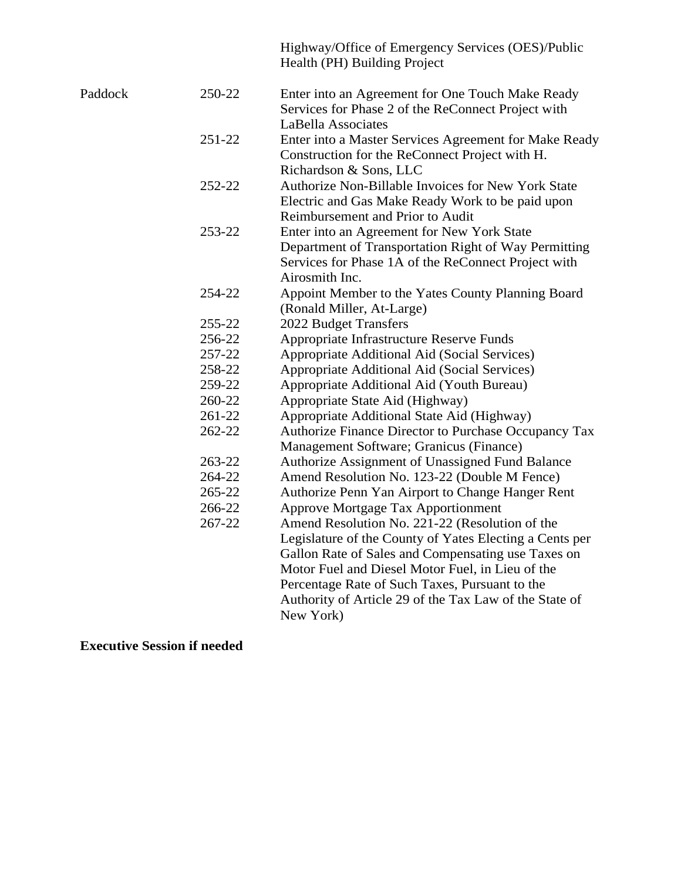|         |        | Highway/Office of Emergency Services (OES)/Public<br>Health (PH) Building Project                                                                                                                                                                                                                                                            |
|---------|--------|----------------------------------------------------------------------------------------------------------------------------------------------------------------------------------------------------------------------------------------------------------------------------------------------------------------------------------------------|
| Paddock | 250-22 | Enter into an Agreement for One Touch Make Ready<br>Services for Phase 2 of the ReConnect Project with                                                                                                                                                                                                                                       |
|         |        | LaBella Associates                                                                                                                                                                                                                                                                                                                           |
|         | 251-22 | Enter into a Master Services Agreement for Make Ready<br>Construction for the ReConnect Project with H.<br>Richardson & Sons, LLC                                                                                                                                                                                                            |
|         | 252-22 | Authorize Non-Billable Invoices for New York State                                                                                                                                                                                                                                                                                           |
|         |        | Electric and Gas Make Ready Work to be paid upon<br>Reimbursement and Prior to Audit                                                                                                                                                                                                                                                         |
|         | 253-22 | Enter into an Agreement for New York State                                                                                                                                                                                                                                                                                                   |
|         |        | Department of Transportation Right of Way Permitting<br>Services for Phase 1A of the ReConnect Project with<br>Airosmith Inc.                                                                                                                                                                                                                |
|         | 254-22 | Appoint Member to the Yates County Planning Board                                                                                                                                                                                                                                                                                            |
|         |        | (Ronald Miller, At-Large)                                                                                                                                                                                                                                                                                                                    |
|         | 255-22 | 2022 Budget Transfers                                                                                                                                                                                                                                                                                                                        |
|         | 256-22 | Appropriate Infrastructure Reserve Funds                                                                                                                                                                                                                                                                                                     |
|         | 257-22 | Appropriate Additional Aid (Social Services)                                                                                                                                                                                                                                                                                                 |
|         | 258-22 | Appropriate Additional Aid (Social Services)                                                                                                                                                                                                                                                                                                 |
|         | 259-22 | Appropriate Additional Aid (Youth Bureau)                                                                                                                                                                                                                                                                                                    |
|         | 260-22 | Appropriate State Aid (Highway)                                                                                                                                                                                                                                                                                                              |
|         | 261-22 | Appropriate Additional State Aid (Highway)                                                                                                                                                                                                                                                                                                   |
|         | 262-22 | Authorize Finance Director to Purchase Occupancy Tax<br>Management Software; Granicus (Finance)                                                                                                                                                                                                                                              |
|         | 263-22 | Authorize Assignment of Unassigned Fund Balance                                                                                                                                                                                                                                                                                              |
|         | 264-22 | Amend Resolution No. 123-22 (Double M Fence)                                                                                                                                                                                                                                                                                                 |
|         | 265-22 | Authorize Penn Yan Airport to Change Hanger Rent                                                                                                                                                                                                                                                                                             |
|         | 266-22 | <b>Approve Mortgage Tax Apportionment</b>                                                                                                                                                                                                                                                                                                    |
|         | 267-22 | Amend Resolution No. 221-22 (Resolution of the<br>Legislature of the County of Yates Electing a Cents per<br>Gallon Rate of Sales and Compensating use Taxes on<br>Motor Fuel and Diesel Motor Fuel, in Lieu of the<br>Percentage Rate of Such Taxes, Pursuant to the<br>Authority of Article 29 of the Tax Law of the State of<br>New York) |

**Executive Session if needed**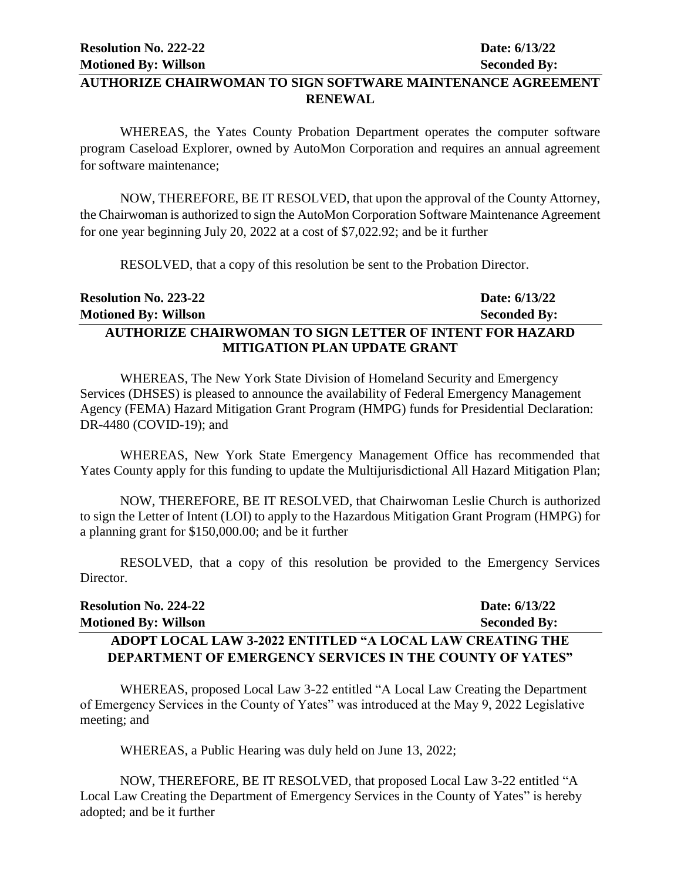# **AUTHORIZE CHAIRWOMAN TO SIGN SOFTWARE MAINTENANCE AGREEMENT RENEWAL**

WHEREAS, the Yates County Probation Department operates the computer software program Caseload Explorer, owned by AutoMon Corporation and requires an annual agreement for software maintenance;

NOW, THEREFORE, BE IT RESOLVED, that upon the approval of the County Attorney, the Chairwoman is authorized to sign the AutoMon Corporation Software Maintenance Agreement for one year beginning July 20, 2022 at a cost of \$7,022.92; and be it further

RESOLVED, that a copy of this resolution be sent to the Probation Director.

| <b>Resolution No. 223-22</b>                                    | Date: $6/13/22$     |
|-----------------------------------------------------------------|---------------------|
| <b>Motioned By: Willson</b>                                     | <b>Seconded By:</b> |
| <b>AUTHORIZE CHAIRWOMAN TO SIGN LETTER OF INTENT FOR HAZARD</b> |                     |
| <b>MITIGATION PLAN UPDATE GRANT</b>                             |                     |

WHEREAS, The New York State Division of Homeland Security and Emergency Services (DHSES) is pleased to announce the availability of Federal Emergency Management Agency (FEMA) Hazard Mitigation Grant Program (HMPG) funds for Presidential Declaration: DR-4480 (COVID-19); and

WHEREAS, New York State Emergency Management Office has recommended that Yates County apply for this funding to update the Multijurisdictional All Hazard Mitigation Plan;

NOW, THEREFORE, BE IT RESOLVED, that Chairwoman Leslie Church is authorized to sign the Letter of Intent (LOI) to apply to the Hazardous Mitigation Grant Program (HMPG) for a planning grant for \$150,000.00; and be it further

RESOLVED, that a copy of this resolution be provided to the Emergency Services Director.

| <b>Resolution No. 224-22</b>                                    | Date: 6/13/22       |
|-----------------------------------------------------------------|---------------------|
| <b>Motioned By: Willson</b>                                     | <b>Seconded By:</b> |
| ADOPT LOCAL LAW 3-2022 ENTITLED "A LOCAL LAW CREATING THE       |                     |
| <b>DEPARTMENT OF EMERGENCY SERVICES IN THE COUNTY OF YATES"</b> |                     |

WHEREAS, proposed Local Law 3-22 entitled "A Local Law Creating the Department of Emergency Services in the County of Yates" was introduced at the May 9, 2022 Legislative meeting; and

WHEREAS, a Public Hearing was duly held on June 13, 2022;

NOW, THEREFORE, BE IT RESOLVED, that proposed Local Law 3-22 entitled "A Local Law Creating the Department of Emergency Services in the County of Yates" is hereby adopted; and be it further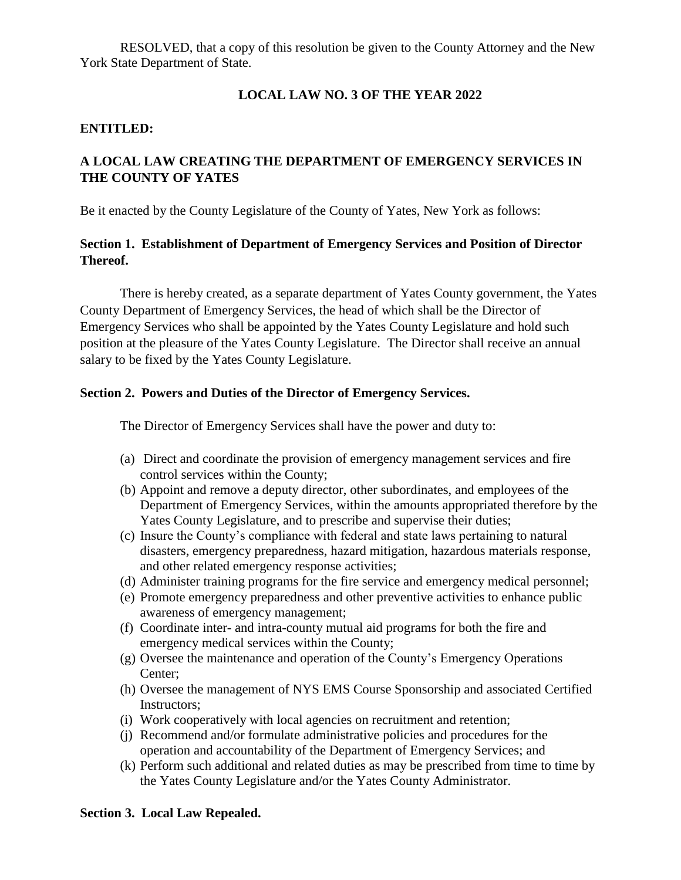RESOLVED, that a copy of this resolution be given to the County Attorney and the New York State Department of State.

#### **LOCAL LAW NO. 3 OF THE YEAR 2022**

#### **ENTITLED:**

# **A LOCAL LAW CREATING THE DEPARTMENT OF EMERGENCY SERVICES IN THE COUNTY OF YATES**

Be it enacted by the County Legislature of the County of Yates, New York as follows:

## **Section 1. Establishment of Department of Emergency Services and Position of Director Thereof.**

There is hereby created, as a separate department of Yates County government, the Yates County Department of Emergency Services, the head of which shall be the Director of Emergency Services who shall be appointed by the Yates County Legislature and hold such position at the pleasure of the Yates County Legislature. The Director shall receive an annual salary to be fixed by the Yates County Legislature.

#### **Section 2. Powers and Duties of the Director of Emergency Services.**

The Director of Emergency Services shall have the power and duty to:

- (a) Direct and coordinate the provision of emergency management services and fire control services within the County;
- (b) Appoint and remove a deputy director, other subordinates, and employees of the Department of Emergency Services, within the amounts appropriated therefore by the Yates County Legislature, and to prescribe and supervise their duties;
- (c) Insure the County's compliance with federal and state laws pertaining to natural disasters, emergency preparedness, hazard mitigation, hazardous materials response, and other related emergency response activities;
- (d) Administer training programs for the fire service and emergency medical personnel;
- (e) Promote emergency preparedness and other preventive activities to enhance public awareness of emergency management;
- (f) Coordinate inter- and intra-county mutual aid programs for both the fire and emergency medical services within the County;
- (g) Oversee the maintenance and operation of the County's Emergency Operations Center;
- (h) Oversee the management of NYS EMS Course Sponsorship and associated Certified Instructors;
- (i) Work cooperatively with local agencies on recruitment and retention;
- (j) Recommend and/or formulate administrative policies and procedures for the operation and accountability of the Department of Emergency Services; and
- (k) Perform such additional and related duties as may be prescribed from time to time by the Yates County Legislature and/or the Yates County Administrator.

#### **Section 3. Local Law Repealed.**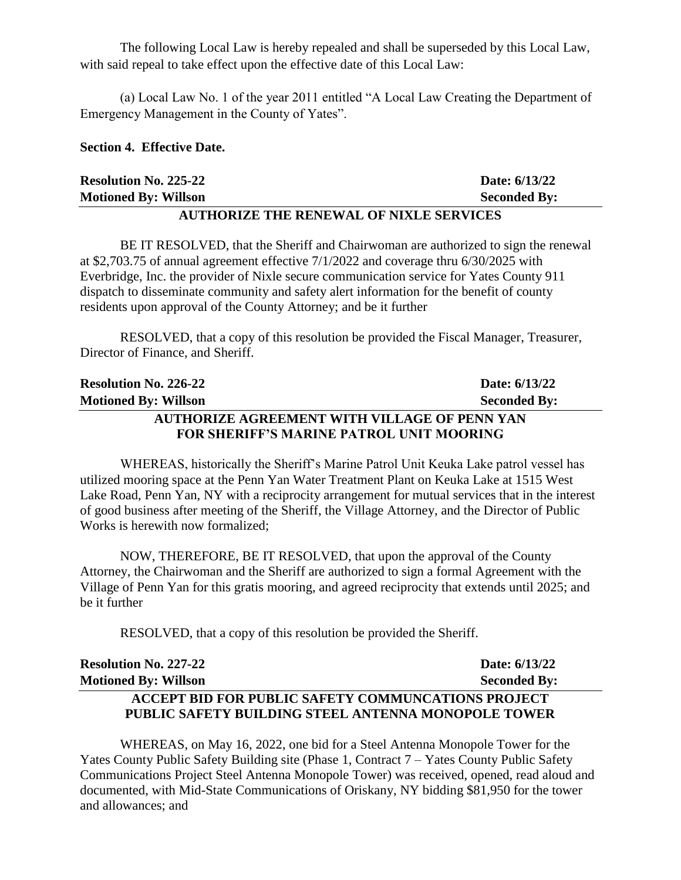The following Local Law is hereby repealed and shall be superseded by this Local Law, with said repeal to take effect upon the effective date of this Local Law:

(a) Local Law No. 1 of the year 2011 entitled "A Local Law Creating the Department of Emergency Management in the County of Yates".

#### **Section 4. Effective Date.**

| <b>Resolution No. 225-22</b>                   | Date: 6/13/22       |  |
|------------------------------------------------|---------------------|--|
| <b>Motioned By: Willson</b>                    | <b>Seconded By:</b> |  |
| <b>AUTHORIZE THE RENEWAL OF NIXLE SERVICES</b> |                     |  |

BE IT RESOLVED, that the Sheriff and Chairwoman are authorized to sign the renewal at \$2,703.75 of annual agreement effective 7/1/2022 and coverage thru 6/30/2025 with Everbridge, Inc. the provider of Nixle secure communication service for Yates County 911 dispatch to disseminate community and safety alert information for the benefit of county residents upon approval of the County Attorney; and be it further

RESOLVED, that a copy of this resolution be provided the Fiscal Manager, Treasurer, Director of Finance, and Sheriff.

| <b>Resolution No. 226-22</b>                        | Date: 6/13/22       |
|-----------------------------------------------------|---------------------|
| <b>Motioned By: Willson</b>                         | <b>Seconded By:</b> |
| <b>AUTHORIZE AGREEMENT WITH VILLAGE OF PENN YAN</b> |                     |
| FOR SHERIFF'S MARINE PATROL UNIT MOORING            |                     |

WHEREAS, historically the Sheriff's Marine Patrol Unit Keuka Lake patrol vessel has utilized mooring space at the Penn Yan Water Treatment Plant on Keuka Lake at 1515 West Lake Road, Penn Yan, NY with a reciprocity arrangement for mutual services that in the interest of good business after meeting of the Sheriff, the Village Attorney, and the Director of Public Works is herewith now formalized;

NOW, THEREFORE, BE IT RESOLVED, that upon the approval of the County Attorney, the Chairwoman and the Sheriff are authorized to sign a formal Agreement with the Village of Penn Yan for this gratis mooring, and agreed reciprocity that extends until 2025; and be it further

RESOLVED, that a copy of this resolution be provided the Sheriff.

| <b>Resolution No. 227-22</b>                               | Date: 6/13/22       |
|------------------------------------------------------------|---------------------|
| <b>Motioned By: Willson</b>                                | <b>Seconded By:</b> |
| <b>ACCEPT BID FOR PUBLIC SAFETY COMMUNCATIONS PROJECT</b>  |                     |
| <b>PUBLIC SAFETY BUILDING STEEL ANTENNA MONOPOLE TOWER</b> |                     |

WHEREAS, on May 16, 2022, one bid for a Steel Antenna Monopole Tower for the Yates County Public Safety Building site (Phase 1, Contract 7 – Yates County Public Safety Communications Project Steel Antenna Monopole Tower) was received, opened, read aloud and documented, with Mid-State Communications of Oriskany, NY bidding \$81,950 for the tower and allowances; and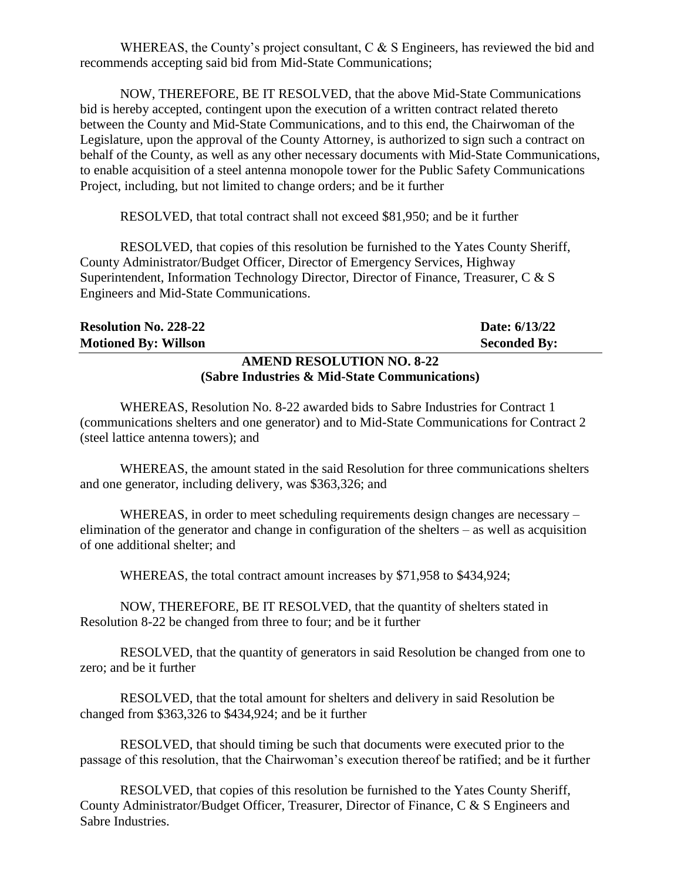WHEREAS, the County's project consultant,  $C \& S$  Engineers, has reviewed the bid and recommends accepting said bid from Mid-State Communications;

NOW, THEREFORE, BE IT RESOLVED, that the above Mid-State Communications bid is hereby accepted, contingent upon the execution of a written contract related thereto between the County and Mid-State Communications, and to this end, the Chairwoman of the Legislature, upon the approval of the County Attorney, is authorized to sign such a contract on behalf of the County, as well as any other necessary documents with Mid-State Communications, to enable acquisition of a steel antenna monopole tower for the Public Safety Communications Project, including, but not limited to change orders; and be it further

RESOLVED, that total contract shall not exceed \$81,950; and be it further

RESOLVED, that copies of this resolution be furnished to the Yates County Sheriff, County Administrator/Budget Officer, Director of Emergency Services, Highway Superintendent, Information Technology Director, Director of Finance, Treasurer, C & S Engineers and Mid-State Communications.

| <b>Resolution No. 228-22</b>                  | Date: 6/13/22       |
|-----------------------------------------------|---------------------|
| <b>Motioned By: Willson</b>                   | <b>Seconded By:</b> |
| <b>AMEND RESOLUTION NO. 8-22</b>              |                     |
| (Sabre Industries & Mid-State Communications) |                     |

WHEREAS, Resolution No. 8-22 awarded bids to Sabre Industries for Contract 1 (communications shelters and one generator) and to Mid-State Communications for Contract 2 (steel lattice antenna towers); and

WHEREAS, the amount stated in the said Resolution for three communications shelters and one generator, including delivery, was \$363,326; and

WHEREAS, in order to meet scheduling requirements design changes are necessary – elimination of the generator and change in configuration of the shelters – as well as acquisition of one additional shelter; and

WHEREAS, the total contract amount increases by \$71,958 to \$434,924;

NOW, THEREFORE, BE IT RESOLVED, that the quantity of shelters stated in Resolution 8-22 be changed from three to four; and be it further

RESOLVED, that the quantity of generators in said Resolution be changed from one to zero; and be it further

RESOLVED, that the total amount for shelters and delivery in said Resolution be changed from \$363,326 to \$434,924; and be it further

RESOLVED, that should timing be such that documents were executed prior to the passage of this resolution, that the Chairwoman's execution thereof be ratified; and be it further

RESOLVED, that copies of this resolution be furnished to the Yates County Sheriff, County Administrator/Budget Officer, Treasurer, Director of Finance, C & S Engineers and Sabre Industries.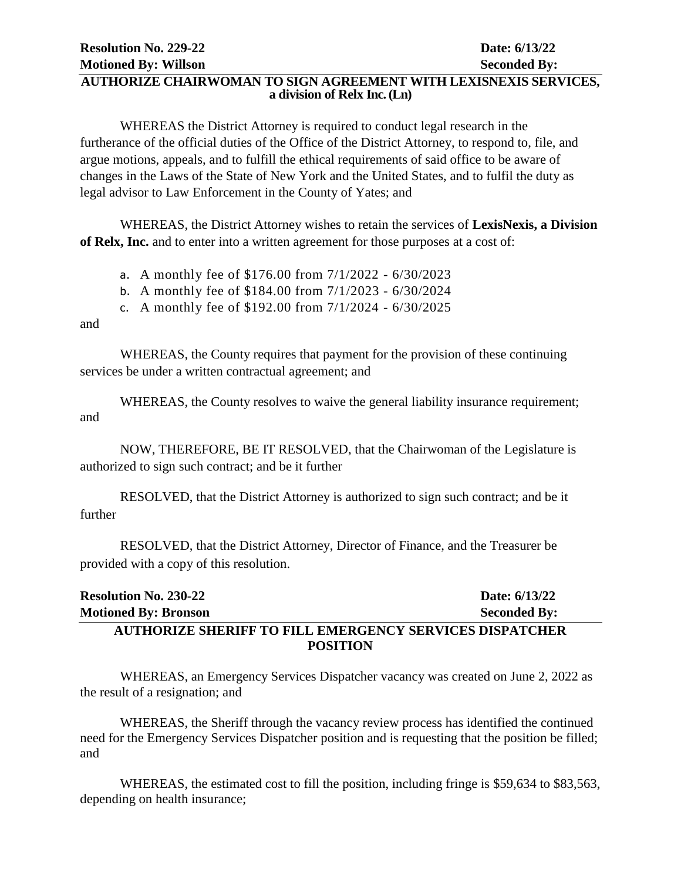## **AUTHORIZE CHAIRWOMAN TO SIGN AGREEMENT WITH LEXISNEXIS SERVICES, a division of Relx Inc. (Ln)**

WHEREAS the District Attorney is required to conduct legal research in the furtherance of the official duties of the Office of the District Attorney, to respond to, file, and argue motions, appeals, and to fulfill the ethical requirements of said office to be aware of changes in the Laws of the State of New York and the United States, and to fulfil the duty as legal advisor to Law Enforcement in the County of Yates; and

WHEREAS, the District Attorney wishes to retain the services of **LexisNexis, a Division of Relx, Inc.** and to enter into a written agreement for those purposes at a cost of:

a. A monthly fee of \$176.00 from 7/1/2022 - 6/30/2023

b. A monthly fee of \$184.00 from 7/1/2023 - 6/30/2024

c. A monthly fee of \$192.00 from 7/1/2024 - 6/30/2025

#### and

WHEREAS, the County requires that payment for the provision of these continuing services be under a written contractual agreement; and

WHEREAS, the County resolves to waive the general liability insurance requirement; and

NOW, THEREFORE, BE IT RESOLVED, that the Chairwoman of the Legislature is authorized to sign such contract; and be it further

RESOLVED, that the District Attorney is authorized to sign such contract; and be it further

RESOLVED, that the District Attorney, Director of Finance, and the Treasurer be provided with a copy of this resolution.

# **Resolution No. 230-22 Date: 6/13/22 Motioned By: Bronson Seconded By: Seconded By: AUTHORIZE SHERIFF TO FILL EMERGENCY SERVICES DISPATCHER POSITION**

WHEREAS, an Emergency Services Dispatcher vacancy was created on June 2, 2022 as the result of a resignation; and

WHEREAS, the Sheriff through the vacancy review process has identified the continued need for the Emergency Services Dispatcher position and is requesting that the position be filled; and

WHEREAS, the estimated cost to fill the position, including fringe is \$59,634 to \$83,563, depending on health insurance;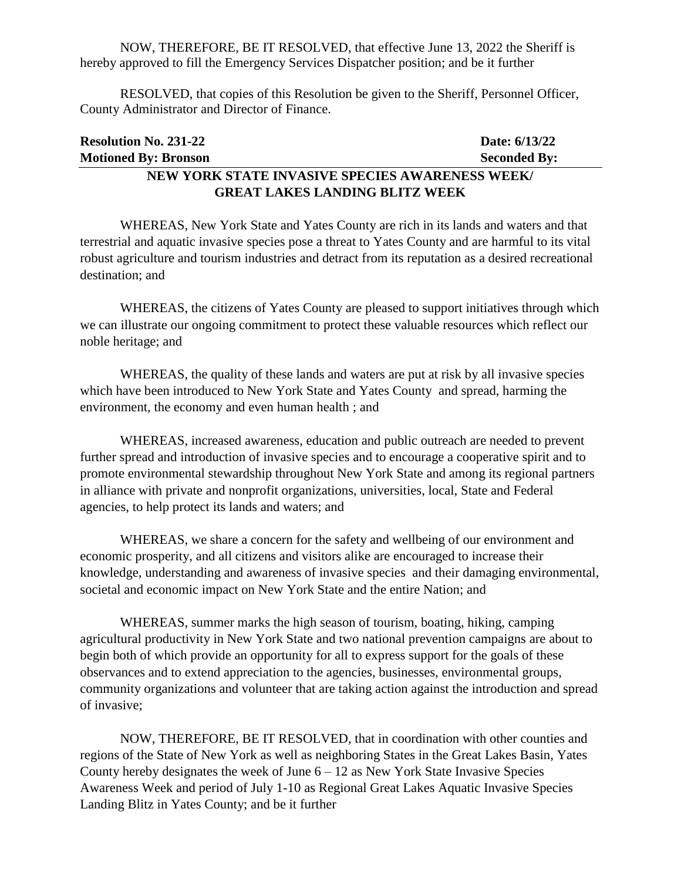NOW, THEREFORE, BE IT RESOLVED, that effective June 13, 2022 the Sheriff is hereby approved to fill the Emergency Services Dispatcher position; and be it further

RESOLVED, that copies of this Resolution be given to the Sheriff, Personnel Officer, County Administrator and Director of Finance.

| <b>Resolution No. 231-22</b>                    | Date: 6/13/22       |
|-------------------------------------------------|---------------------|
| <b>Motioned By: Bronson</b>                     | <b>Seconded By:</b> |
| NEW YORK STATE INVASIVE SPECIES AWARENESS WEEK/ |                     |
| <b>GREAT LAKES LANDING BLITZ WEEK</b>           |                     |

WHEREAS, New York State and Yates County are rich in its lands and waters and that terrestrial and aquatic invasive species pose a threat to Yates County and are harmful to its vital robust agriculture and tourism industries and detract from its reputation as a desired recreational destination; and

WHEREAS, the citizens of Yates County are pleased to support initiatives through which we can illustrate our ongoing commitment to protect these valuable resources which reflect our noble heritage; and

WHEREAS, the quality of these lands and waters are put at risk by all invasive species which have been introduced to New York State and Yates County and spread, harming the environment, the economy and even human health ; and

WHEREAS, increased awareness, education and public outreach are needed to prevent further spread and introduction of invasive species and to encourage a cooperative spirit and to promote environmental stewardship throughout New York State and among its regional partners in alliance with private and nonprofit organizations, universities, local, State and Federal agencies, to help protect its lands and waters; and

WHEREAS, we share a concern for the safety and wellbeing of our environment and economic prosperity, and all citizens and visitors alike are encouraged to increase their knowledge, understanding and awareness of invasive species and their damaging environmental, societal and economic impact on New York State and the entire Nation; and

WHEREAS, summer marks the high season of tourism, boating, hiking, camping agricultural productivity in New York State and two national prevention campaigns are about to begin both of which provide an opportunity for all to express support for the goals of these observances and to extend appreciation to the agencies, businesses, environmental groups, community organizations and volunteer that are taking action against the introduction and spread of invasive;

NOW, THEREFORE, BE IT RESOLVED, that in coordination with other counties and regions of the State of New York as well as neighboring States in the Great Lakes Basin, Yates County hereby designates the week of June  $6 - 12$  as New York State Invasive Species Awareness Week and period of July 1-10 as Regional Great Lakes Aquatic Invasive Species Landing Blitz in Yates County; and be it further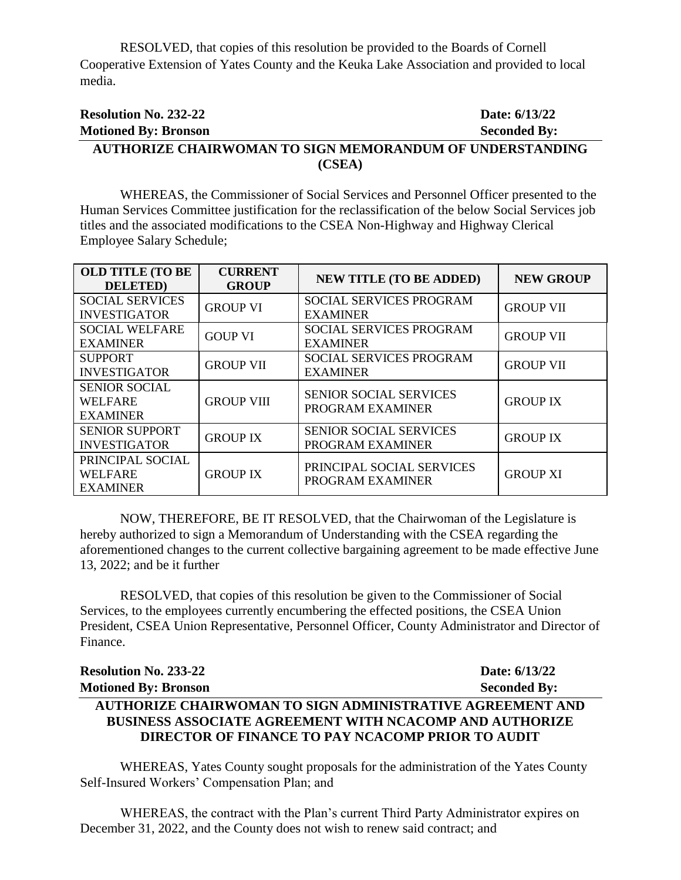RESOLVED, that copies of this resolution be provided to the Boards of Cornell Cooperative Extension of Yates County and the Keuka Lake Association and provided to local media.

# **Resolution No. 232-22 Date: 6/13/22 Motioned By: Bronson Seconded By: AUTHORIZE CHAIRWOMAN TO SIGN MEMORANDUM OF UNDERSTANDING (CSEA)**

WHEREAS, the Commissioner of Social Services and Personnel Officer presented to the Human Services Committee justification for the reclassification of the below Social Services job titles and the associated modifications to the CSEA Non-Highway and Highway Clerical Employee Salary Schedule;

| <b>OLD TITLE (TO BE</b><br><b>DELETED</b> )           | <b>CURRENT</b><br><b>GROUP</b> | <b>NEW TITLE (TO BE ADDED)</b>                    | <b>NEW GROUP</b> |
|-------------------------------------------------------|--------------------------------|---------------------------------------------------|------------------|
| <b>SOCIAL SERVICES</b><br><b>INVESTIGATOR</b>         | <b>GROUP VI</b>                | SOCIAL SERVICES PROGRAM<br><b>EXAMINER</b>        | <b>GROUP VII</b> |
| <b>SOCIAL WELFARE</b><br><b>EXAMINER</b>              | <b>GOUP VI</b>                 | SOCIAL SERVICES PROGRAM<br><b>EXAMINER</b>        | <b>GROUP VII</b> |
| <b>SUPPORT</b><br><b>INVESTIGATOR</b>                 | <b>GROUP VII</b>               | SOCIAL SERVICES PROGRAM<br><b>EXAMINER</b>        | <b>GROUP VII</b> |
| <b>SENIOR SOCIAL</b><br>WELFARE<br><b>EXAMINER</b>    | <b>GROUP VIII</b>              | <b>SENIOR SOCIAL SERVICES</b><br>PROGRAM EXAMINER | <b>GROUP IX</b>  |
| <b>SENIOR SUPPORT</b><br><b>INVESTIGATOR</b>          | <b>GROUP IX</b>                | <b>SENIOR SOCIAL SERVICES</b><br>PROGRAM EXAMINER | <b>GROUP IX</b>  |
| PRINCIPAL SOCIAL<br><b>WELFARE</b><br><b>EXAMINER</b> | <b>GROUP IX</b>                | PRINCIPAL SOCIAL SERVICES<br>PROGRAM EXAMINER     | <b>GROUP XI</b>  |

NOW, THEREFORE, BE IT RESOLVED, that the Chairwoman of the Legislature is hereby authorized to sign a Memorandum of Understanding with the CSEA regarding the aforementioned changes to the current collective bargaining agreement to be made effective June 13, 2022; and be it further

RESOLVED, that copies of this resolution be given to the Commissioner of Social Services, to the employees currently encumbering the effected positions, the CSEA Union President, CSEA Union Representative, Personnel Officer, County Administrator and Director of Finance.

| <b>Resolution No. 233-22</b>                                   | Date: 6/13/22       |
|----------------------------------------------------------------|---------------------|
| <b>Motioned By: Bronson</b>                                    | <b>Seconded By:</b> |
| AUTHORIZE CHAIRWOMAN TO SIGN ADMINISTRATIVE AGREEMENT AND      |                     |
| <b>BUSINESS ASSOCIATE AGREEMENT WITH NCACOMP AND AUTHORIZE</b> |                     |
| <b>DIRECTOR OF FINANCE TO PAY NCACOMP PRIOR TO AUDIT</b>       |                     |

WHEREAS, Yates County sought proposals for the administration of the Yates County Self-Insured Workers' Compensation Plan; and

WHEREAS, the contract with the Plan's current Third Party Administrator expires on December 31, 2022, and the County does not wish to renew said contract; and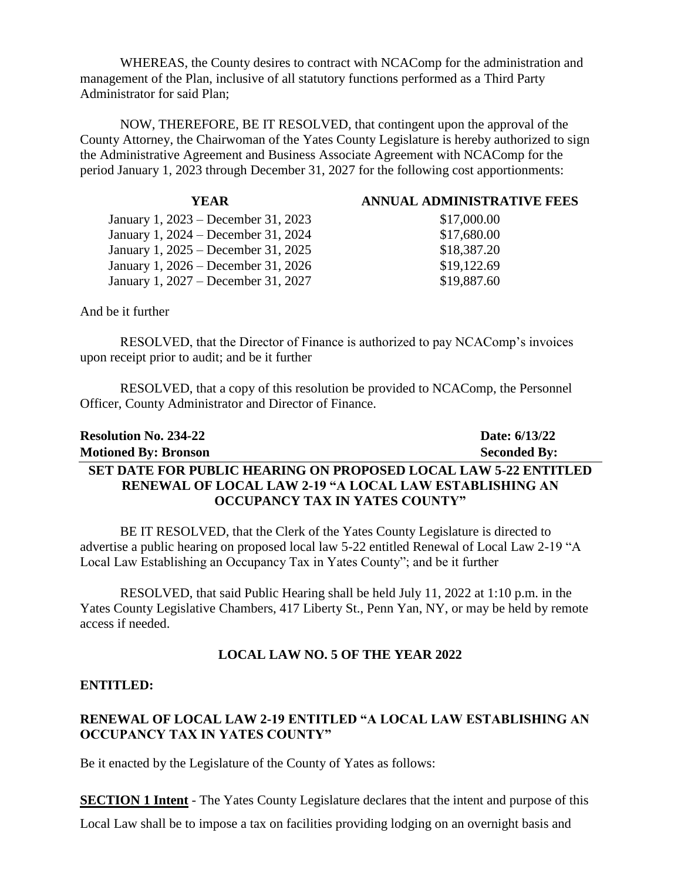WHEREAS, the County desires to contract with NCAComp for the administration and management of the Plan, inclusive of all statutory functions performed as a Third Party Administrator for said Plan;

NOW, THEREFORE, BE IT RESOLVED, that contingent upon the approval of the County Attorney, the Chairwoman of the Yates County Legislature is hereby authorized to sign the Administrative Agreement and Business Associate Agreement with NCAComp for the period January 1, 2023 through December 31, 2027 for the following cost apportionments:

| YEAR.                               | <b>ANNUAL ADMINISTRATIVE FEES</b> |
|-------------------------------------|-----------------------------------|
| January 1, 2023 – December 31, 2023 | \$17,000.00                       |
| January 1, 2024 – December 31, 2024 | \$17,680.00                       |
| January 1, 2025 – December 31, 2025 | \$18,387.20                       |
| January 1, 2026 – December 31, 2026 | \$19,122.69                       |
| January 1, 2027 – December 31, 2027 | \$19,887.60                       |
|                                     |                                   |

And be it further

RESOLVED, that the Director of Finance is authorized to pay NCAComp's invoices upon receipt prior to audit; and be it further

RESOLVED, that a copy of this resolution be provided to NCAComp, the Personnel Officer, County Administrator and Director of Finance.

| <b>Resolution No. 234-22</b>                                           | Date: 6/13/22       |
|------------------------------------------------------------------------|---------------------|
| <b>Motioned By: Bronson</b>                                            | <b>Seconded By:</b> |
| <b>SET DATE FOR PUBLIC HEARING ON PROPOSED LOCAL LAW 5-22 ENTITLED</b> |                     |
| <b>RENEWAL OF LOCAL LAW 2-19 "A LOCAL LAW ESTABLISHING AN</b>          |                     |
| OCCUPANCY TAX IN YATES COUNTY"                                         |                     |

BE IT RESOLVED, that the Clerk of the Yates County Legislature is directed to advertise a public hearing on proposed local law 5-22 entitled Renewal of Local Law 2-19 "A Local Law Establishing an Occupancy Tax in Yates County"; and be it further

RESOLVED, that said Public Hearing shall be held July 11, 2022 at 1:10 p.m. in the Yates County Legislative Chambers, 417 Liberty St., Penn Yan, NY, or may be held by remote access if needed.

#### **LOCAL LAW NO. 5 OF THE YEAR 2022**

#### **ENTITLED:**

# **RENEWAL OF LOCAL LAW 2-19 ENTITLED "A LOCAL LAW ESTABLISHING AN OCCUPANCY TAX IN YATES COUNTY"**

Be it enacted by the Legislature of the County of Yates as follows:

**SECTION 1 Intent** - The Yates County Legislature declares that the intent and purpose of this Local Law shall be to impose a tax on facilities providing lodging on an overnight basis and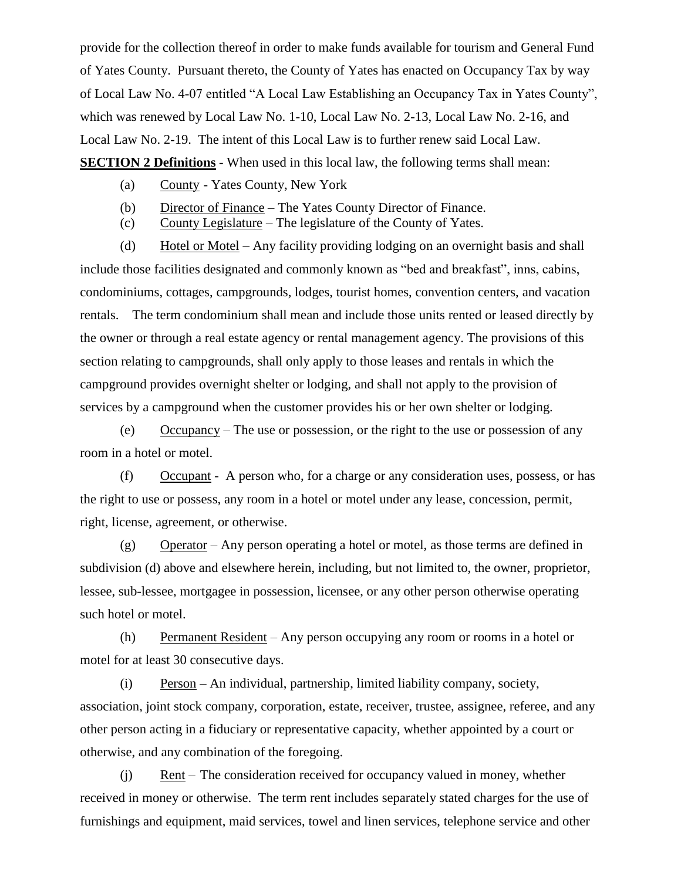provide for the collection thereof in order to make funds available for tourism and General Fund of Yates County. Pursuant thereto, the County of Yates has enacted on Occupancy Tax by way of Local Law No. 4-07 entitled "A Local Law Establishing an Occupancy Tax in Yates County", which was renewed by Local Law No. 1-10, Local Law No. 2-13, Local Law No. 2-16, and Local Law No. 2-19. The intent of this Local Law is to further renew said Local Law. **SECTION 2 Definitions** - When used in this local law, the following terms shall mean:

- (a) County Yates County, New York
- (b) Director of Finance The Yates County Director of Finance.
- (c) County Legislature The legislature of the County of Yates.

(d) Hotel or Motel – Any facility providing lodging on an overnight basis and shall include those facilities designated and commonly known as "bed and breakfast", inns, cabins, condominiums, cottages, campgrounds, lodges, tourist homes, convention centers, and vacation rentals. The term condominium shall mean and include those units rented or leased directly by the owner or through a real estate agency or rental management agency. The provisions of this section relating to campgrounds, shall only apply to those leases and rentals in which the campground provides overnight shelter or lodging, and shall not apply to the provision of services by a campground when the customer provides his or her own shelter or lodging.

(e) Occupancy – The use or possession, or the right to the use or possession of any room in a hotel or motel.

(f) Occupant - A person who, for a charge or any consideration uses, possess, or has the right to use or possess, any room in a hotel or motel under any lease, concession, permit, right, license, agreement, or otherwise.

(g) Operator – Any person operating a hotel or motel, as those terms are defined in subdivision (d) above and elsewhere herein, including, but not limited to, the owner, proprietor, lessee, sub-lessee, mortgagee in possession, licensee, or any other person otherwise operating such hotel or motel.

(h) Permanent Resident – Any person occupying any room or rooms in a hotel or motel for at least 30 consecutive days.

(i) Person – An individual, partnership, limited liability company, society, association, joint stock company, corporation, estate, receiver, trustee, assignee, referee, and any other person acting in a fiduciary or representative capacity, whether appointed by a court or otherwise, and any combination of the foregoing.

(j) Rent – The consideration received for occupancy valued in money, whether received in money or otherwise. The term rent includes separately stated charges for the use of furnishings and equipment, maid services, towel and linen services, telephone service and other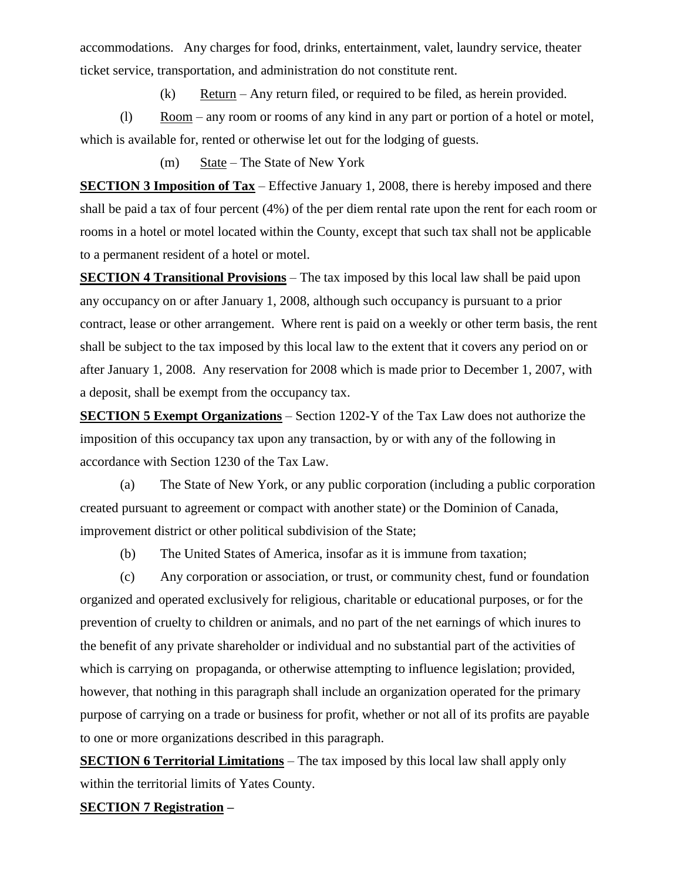accommodations. Any charges for food, drinks, entertainment, valet, laundry service, theater ticket service, transportation, and administration do not constitute rent.

 $(k)$  Return – Any return filed, or required to be filed, as herein provided.

(l) Room – any room or rooms of any kind in any part or portion of a hotel or motel, which is available for, rented or otherwise let out for the lodging of guests.

(m) State – The State of New York

**SECTION 3 Imposition of Tax** – Effective January 1, 2008, there is hereby imposed and there shall be paid a tax of four percent (4%) of the per diem rental rate upon the rent for each room or rooms in a hotel or motel located within the County, except that such tax shall not be applicable to a permanent resident of a hotel or motel.

**SECTION 4 Transitional Provisions** – The tax imposed by this local law shall be paid upon any occupancy on or after January 1, 2008, although such occupancy is pursuant to a prior contract, lease or other arrangement. Where rent is paid on a weekly or other term basis, the rent shall be subject to the tax imposed by this local law to the extent that it covers any period on or after January 1, 2008. Any reservation for 2008 which is made prior to December 1, 2007, with a deposit, shall be exempt from the occupancy tax.

**SECTION 5 Exempt Organizations** – Section 1202-Y of the Tax Law does not authorize the imposition of this occupancy tax upon any transaction, by or with any of the following in accordance with Section 1230 of the Tax Law.

(a) The State of New York, or any public corporation (including a public corporation created pursuant to agreement or compact with another state) or the Dominion of Canada, improvement district or other political subdivision of the State;

(b) The United States of America, insofar as it is immune from taxation;

(c) Any corporation or association, or trust, or community chest, fund or foundation organized and operated exclusively for religious, charitable or educational purposes, or for the prevention of cruelty to children or animals, and no part of the net earnings of which inures to the benefit of any private shareholder or individual and no substantial part of the activities of which is carrying on propaganda, or otherwise attempting to influence legislation; provided, however, that nothing in this paragraph shall include an organization operated for the primary purpose of carrying on a trade or business for profit, whether or not all of its profits are payable to one or more organizations described in this paragraph.

**SECTION 6 Territorial Limitations** – The tax imposed by this local law shall apply only within the territorial limits of Yates County.

# **SECTION 7 Registration –**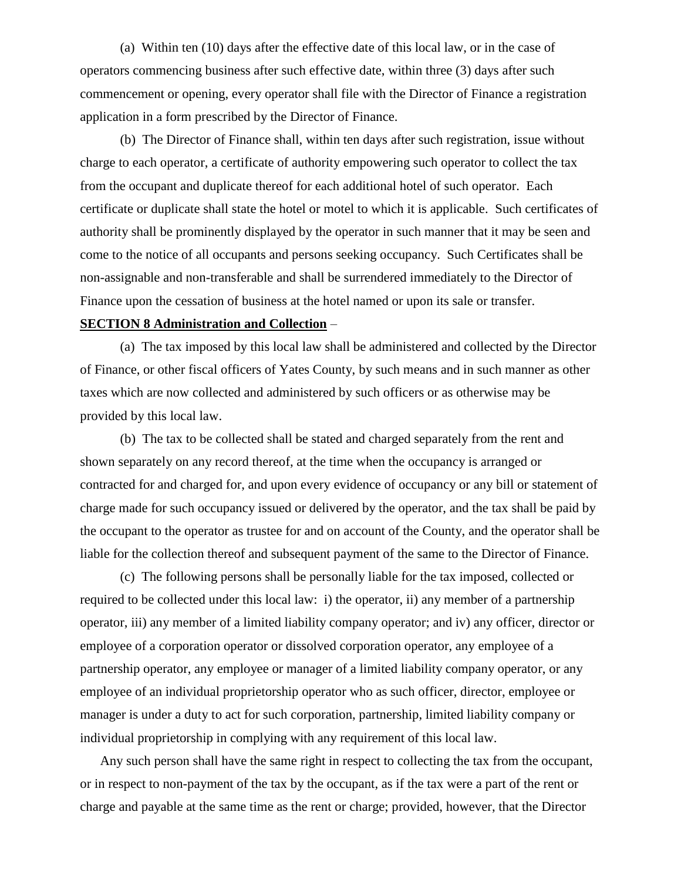(a) Within ten (10) days after the effective date of this local law, or in the case of operators commencing business after such effective date, within three (3) days after such commencement or opening, every operator shall file with the Director of Finance a registration application in a form prescribed by the Director of Finance.

(b) The Director of Finance shall, within ten days after such registration, issue without charge to each operator, a certificate of authority empowering such operator to collect the tax from the occupant and duplicate thereof for each additional hotel of such operator. Each certificate or duplicate shall state the hotel or motel to which it is applicable. Such certificates of authority shall be prominently displayed by the operator in such manner that it may be seen and come to the notice of all occupants and persons seeking occupancy. Such Certificates shall be non-assignable and non-transferable and shall be surrendered immediately to the Director of Finance upon the cessation of business at the hotel named or upon its sale or transfer.

#### **SECTION 8 Administration and Collection** –

(a) The tax imposed by this local law shall be administered and collected by the Director of Finance, or other fiscal officers of Yates County, by such means and in such manner as other taxes which are now collected and administered by such officers or as otherwise may be provided by this local law.

(b) The tax to be collected shall be stated and charged separately from the rent and shown separately on any record thereof, at the time when the occupancy is arranged or contracted for and charged for, and upon every evidence of occupancy or any bill or statement of charge made for such occupancy issued or delivered by the operator, and the tax shall be paid by the occupant to the operator as trustee for and on account of the County, and the operator shall be liable for the collection thereof and subsequent payment of the same to the Director of Finance.

(c) The following persons shall be personally liable for the tax imposed, collected or required to be collected under this local law: i) the operator, ii) any member of a partnership operator, iii) any member of a limited liability company operator; and iv) any officer, director or employee of a corporation operator or dissolved corporation operator, any employee of a partnership operator, any employee or manager of a limited liability company operator, or any employee of an individual proprietorship operator who as such officer, director, employee or manager is under a duty to act for such corporation, partnership, limited liability company or individual proprietorship in complying with any requirement of this local law.

 Any such person shall have the same right in respect to collecting the tax from the occupant, or in respect to non-payment of the tax by the occupant, as if the tax were a part of the rent or charge and payable at the same time as the rent or charge; provided, however, that the Director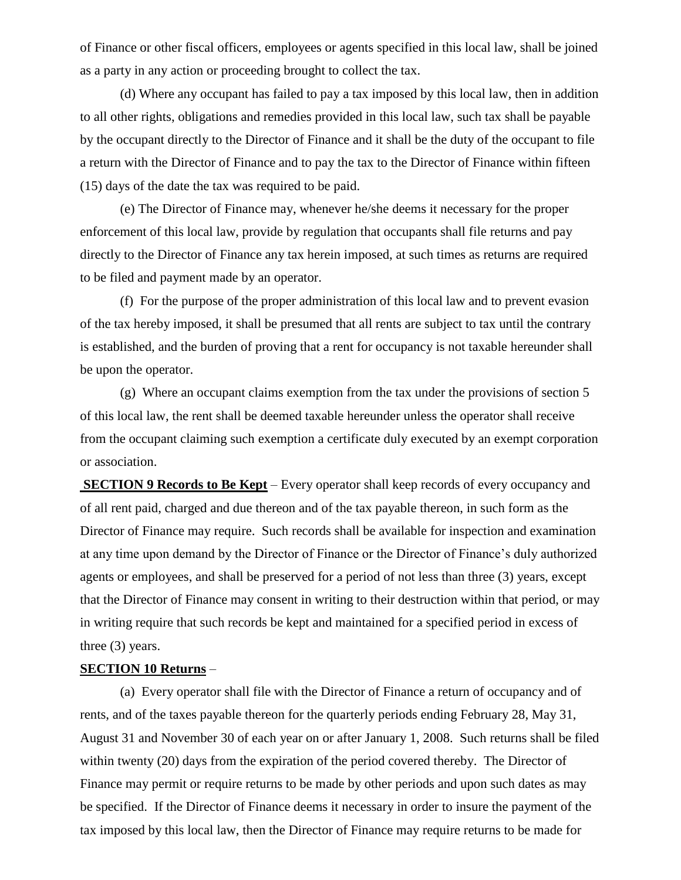of Finance or other fiscal officers, employees or agents specified in this local law, shall be joined as a party in any action or proceeding brought to collect the tax.

(d) Where any occupant has failed to pay a tax imposed by this local law, then in addition to all other rights, obligations and remedies provided in this local law, such tax shall be payable by the occupant directly to the Director of Finance and it shall be the duty of the occupant to file a return with the Director of Finance and to pay the tax to the Director of Finance within fifteen (15) days of the date the tax was required to be paid.

(e) The Director of Finance may, whenever he/she deems it necessary for the proper enforcement of this local law, provide by regulation that occupants shall file returns and pay directly to the Director of Finance any tax herein imposed, at such times as returns are required to be filed and payment made by an operator.

(f) For the purpose of the proper administration of this local law and to prevent evasion of the tax hereby imposed, it shall be presumed that all rents are subject to tax until the contrary is established, and the burden of proving that a rent for occupancy is not taxable hereunder shall be upon the operator.

(g) Where an occupant claims exemption from the tax under the provisions of section 5 of this local law, the rent shall be deemed taxable hereunder unless the operator shall receive from the occupant claiming such exemption a certificate duly executed by an exempt corporation or association.

**SECTION 9 Records to Be Kept** – Every operator shall keep records of every occupancy and of all rent paid, charged and due thereon and of the tax payable thereon, in such form as the Director of Finance may require. Such records shall be available for inspection and examination at any time upon demand by the Director of Finance or the Director of Finance's duly authorized agents or employees, and shall be preserved for a period of not less than three (3) years, except that the Director of Finance may consent in writing to their destruction within that period, or may in writing require that such records be kept and maintained for a specified period in excess of three (3) years.

#### **SECTION 10 Returns** –

(a) Every operator shall file with the Director of Finance a return of occupancy and of rents, and of the taxes payable thereon for the quarterly periods ending February 28, May 31, August 31 and November 30 of each year on or after January 1, 2008. Such returns shall be filed within twenty (20) days from the expiration of the period covered thereby. The Director of Finance may permit or require returns to be made by other periods and upon such dates as may be specified. If the Director of Finance deems it necessary in order to insure the payment of the tax imposed by this local law, then the Director of Finance may require returns to be made for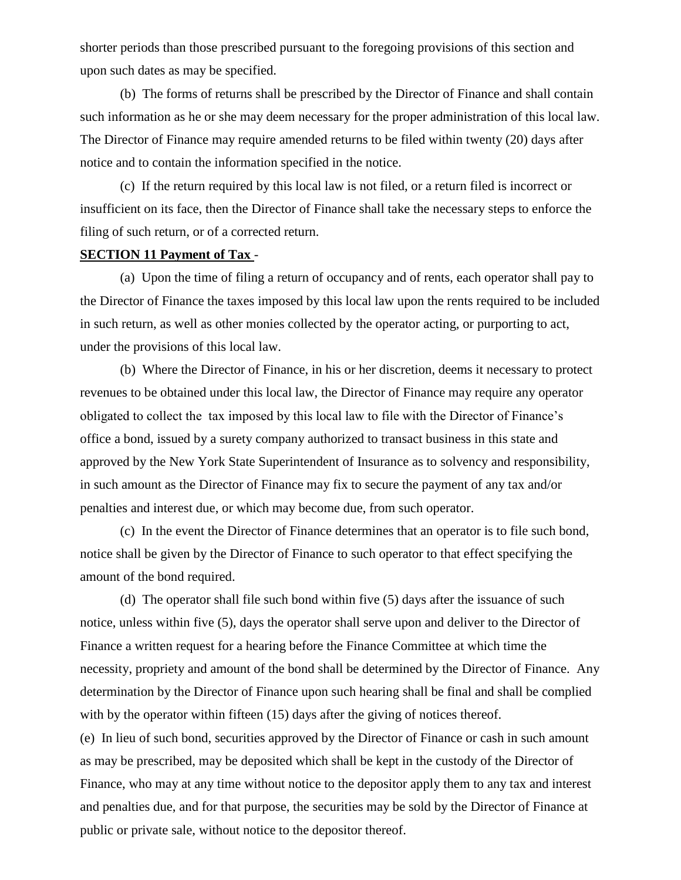shorter periods than those prescribed pursuant to the foregoing provisions of this section and upon such dates as may be specified.

(b) The forms of returns shall be prescribed by the Director of Finance and shall contain such information as he or she may deem necessary for the proper administration of this local law. The Director of Finance may require amended returns to be filed within twenty (20) days after notice and to contain the information specified in the notice.

(c) If the return required by this local law is not filed, or a return filed is incorrect or insufficient on its face, then the Director of Finance shall take the necessary steps to enforce the filing of such return, or of a corrected return.

#### **SECTION 11 Payment of Tax** -

(a) Upon the time of filing a return of occupancy and of rents, each operator shall pay to the Director of Finance the taxes imposed by this local law upon the rents required to be included in such return, as well as other monies collected by the operator acting, or purporting to act, under the provisions of this local law.

(b) Where the Director of Finance, in his or her discretion, deems it necessary to protect revenues to be obtained under this local law, the Director of Finance may require any operator obligated to collect the tax imposed by this local law to file with the Director of Finance's office a bond, issued by a surety company authorized to transact business in this state and approved by the New York State Superintendent of Insurance as to solvency and responsibility, in such amount as the Director of Finance may fix to secure the payment of any tax and/or penalties and interest due, or which may become due, from such operator.

(c) In the event the Director of Finance determines that an operator is to file such bond, notice shall be given by the Director of Finance to such operator to that effect specifying the amount of the bond required.

(d) The operator shall file such bond within five (5) days after the issuance of such notice, unless within five (5), days the operator shall serve upon and deliver to the Director of Finance a written request for a hearing before the Finance Committee at which time the necessity, propriety and amount of the bond shall be determined by the Director of Finance. Any determination by the Director of Finance upon such hearing shall be final and shall be complied with by the operator within fifteen (15) days after the giving of notices thereof.

(e) In lieu of such bond, securities approved by the Director of Finance or cash in such amount as may be prescribed, may be deposited which shall be kept in the custody of the Director of Finance, who may at any time without notice to the depositor apply them to any tax and interest and penalties due, and for that purpose, the securities may be sold by the Director of Finance at public or private sale, without notice to the depositor thereof.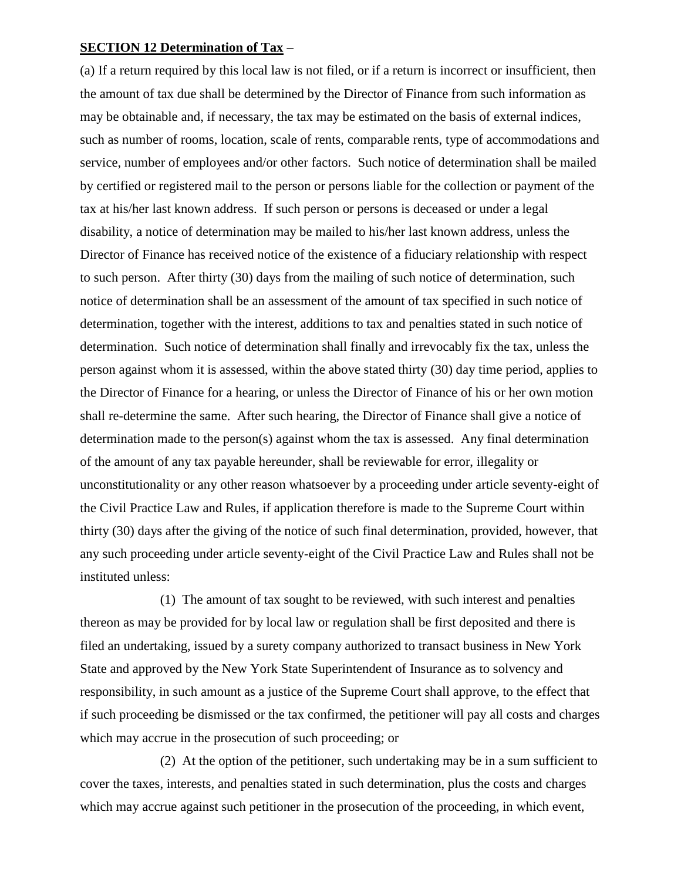#### **SECTION 12 Determination of Tax** –

(a) If a return required by this local law is not filed, or if a return is incorrect or insufficient, then the amount of tax due shall be determined by the Director of Finance from such information as may be obtainable and, if necessary, the tax may be estimated on the basis of external indices, such as number of rooms, location, scale of rents, comparable rents, type of accommodations and service, number of employees and/or other factors. Such notice of determination shall be mailed by certified or registered mail to the person or persons liable for the collection or payment of the tax at his/her last known address. If such person or persons is deceased or under a legal disability, a notice of determination may be mailed to his/her last known address, unless the Director of Finance has received notice of the existence of a fiduciary relationship with respect to such person. After thirty (30) days from the mailing of such notice of determination, such notice of determination shall be an assessment of the amount of tax specified in such notice of determination, together with the interest, additions to tax and penalties stated in such notice of determination. Such notice of determination shall finally and irrevocably fix the tax, unless the person against whom it is assessed, within the above stated thirty (30) day time period, applies to the Director of Finance for a hearing, or unless the Director of Finance of his or her own motion shall re-determine the same. After such hearing, the Director of Finance shall give a notice of determination made to the person(s) against whom the tax is assessed. Any final determination of the amount of any tax payable hereunder, shall be reviewable for error, illegality or unconstitutionality or any other reason whatsoever by a proceeding under article seventy-eight of the Civil Practice Law and Rules, if application therefore is made to the Supreme Court within thirty (30) days after the giving of the notice of such final determination, provided, however, that any such proceeding under article seventy-eight of the Civil Practice Law and Rules shall not be instituted unless:

(1) The amount of tax sought to be reviewed, with such interest and penalties thereon as may be provided for by local law or regulation shall be first deposited and there is filed an undertaking, issued by a surety company authorized to transact business in New York State and approved by the New York State Superintendent of Insurance as to solvency and responsibility, in such amount as a justice of the Supreme Court shall approve, to the effect that if such proceeding be dismissed or the tax confirmed, the petitioner will pay all costs and charges which may accrue in the prosecution of such proceeding; or

(2) At the option of the petitioner, such undertaking may be in a sum sufficient to cover the taxes, interests, and penalties stated in such determination, plus the costs and charges which may accrue against such petitioner in the prosecution of the proceeding, in which event,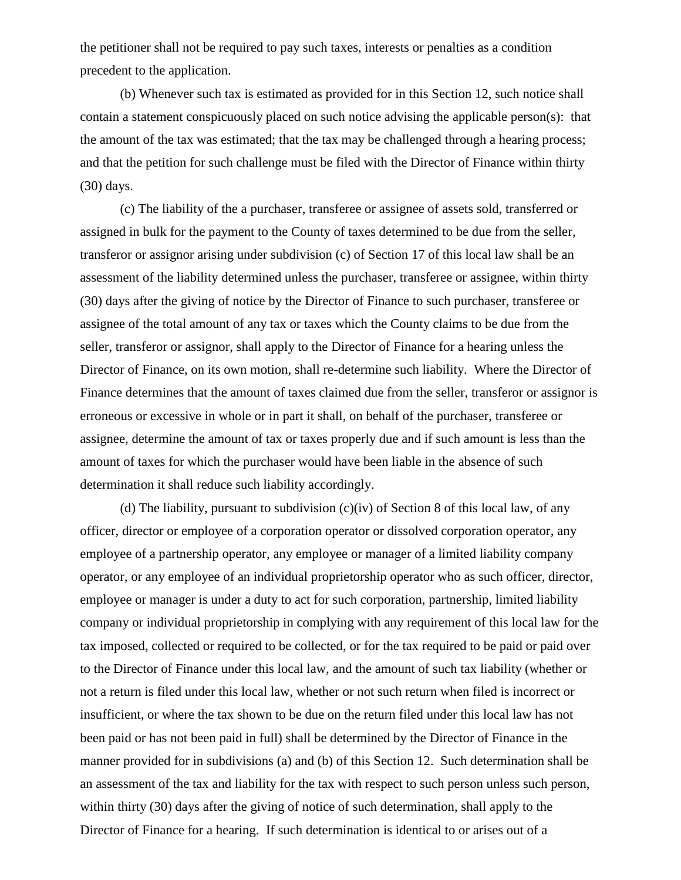the petitioner shall not be required to pay such taxes, interests or penalties as a condition precedent to the application.

(b) Whenever such tax is estimated as provided for in this Section 12, such notice shall contain a statement conspicuously placed on such notice advising the applicable person(s): that the amount of the tax was estimated; that the tax may be challenged through a hearing process; and that the petition for such challenge must be filed with the Director of Finance within thirty (30) days.

(c) The liability of the a purchaser, transferee or assignee of assets sold, transferred or assigned in bulk for the payment to the County of taxes determined to be due from the seller, transferor or assignor arising under subdivision (c) of Section 17 of this local law shall be an assessment of the liability determined unless the purchaser, transferee or assignee, within thirty (30) days after the giving of notice by the Director of Finance to such purchaser, transferee or assignee of the total amount of any tax or taxes which the County claims to be due from the seller, transferor or assignor, shall apply to the Director of Finance for a hearing unless the Director of Finance, on its own motion, shall re-determine such liability. Where the Director of Finance determines that the amount of taxes claimed due from the seller, transferor or assignor is erroneous or excessive in whole or in part it shall, on behalf of the purchaser, transferee or assignee, determine the amount of tax or taxes properly due and if such amount is less than the amount of taxes for which the purchaser would have been liable in the absence of such determination it shall reduce such liability accordingly.

(d) The liability, pursuant to subdivision (c)(iv) of Section 8 of this local law, of any officer, director or employee of a corporation operator or dissolved corporation operator, any employee of a partnership operator, any employee or manager of a limited liability company operator, or any employee of an individual proprietorship operator who as such officer, director, employee or manager is under a duty to act for such corporation, partnership, limited liability company or individual proprietorship in complying with any requirement of this local law for the tax imposed, collected or required to be collected, or for the tax required to be paid or paid over to the Director of Finance under this local law, and the amount of such tax liability (whether or not a return is filed under this local law, whether or not such return when filed is incorrect or insufficient, or where the tax shown to be due on the return filed under this local law has not been paid or has not been paid in full) shall be determined by the Director of Finance in the manner provided for in subdivisions (a) and (b) of this Section 12. Such determination shall be an assessment of the tax and liability for the tax with respect to such person unless such person, within thirty (30) days after the giving of notice of such determination, shall apply to the Director of Finance for a hearing. If such determination is identical to or arises out of a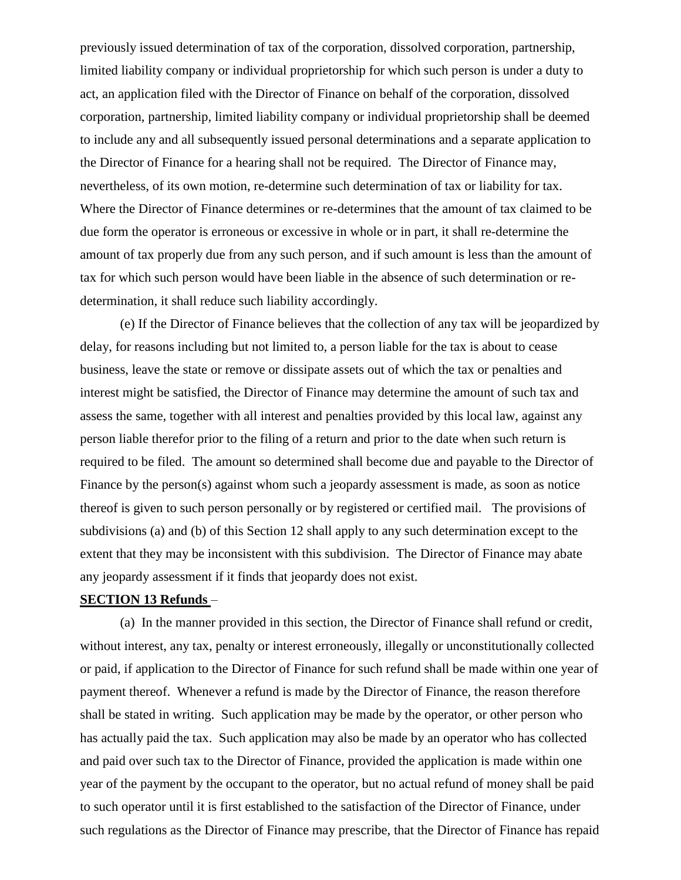previously issued determination of tax of the corporation, dissolved corporation, partnership, limited liability company or individual proprietorship for which such person is under a duty to act, an application filed with the Director of Finance on behalf of the corporation, dissolved corporation, partnership, limited liability company or individual proprietorship shall be deemed to include any and all subsequently issued personal determinations and a separate application to the Director of Finance for a hearing shall not be required. The Director of Finance may, nevertheless, of its own motion, re-determine such determination of tax or liability for tax. Where the Director of Finance determines or re-determines that the amount of tax claimed to be due form the operator is erroneous or excessive in whole or in part, it shall re-determine the amount of tax properly due from any such person, and if such amount is less than the amount of tax for which such person would have been liable in the absence of such determination or redetermination, it shall reduce such liability accordingly.

(e) If the Director of Finance believes that the collection of any tax will be jeopardized by delay, for reasons including but not limited to, a person liable for the tax is about to cease business, leave the state or remove or dissipate assets out of which the tax or penalties and interest might be satisfied, the Director of Finance may determine the amount of such tax and assess the same, together with all interest and penalties provided by this local law, against any person liable therefor prior to the filing of a return and prior to the date when such return is required to be filed. The amount so determined shall become due and payable to the Director of Finance by the person(s) against whom such a jeopardy assessment is made, as soon as notice thereof is given to such person personally or by registered or certified mail. The provisions of subdivisions (a) and (b) of this Section 12 shall apply to any such determination except to the extent that they may be inconsistent with this subdivision. The Director of Finance may abate any jeopardy assessment if it finds that jeopardy does not exist.

#### **SECTION 13 Refunds** –

(a) In the manner provided in this section, the Director of Finance shall refund or credit, without interest, any tax, penalty or interest erroneously, illegally or unconstitutionally collected or paid, if application to the Director of Finance for such refund shall be made within one year of payment thereof. Whenever a refund is made by the Director of Finance, the reason therefore shall be stated in writing. Such application may be made by the operator, or other person who has actually paid the tax. Such application may also be made by an operator who has collected and paid over such tax to the Director of Finance, provided the application is made within one year of the payment by the occupant to the operator, but no actual refund of money shall be paid to such operator until it is first established to the satisfaction of the Director of Finance, under such regulations as the Director of Finance may prescribe, that the Director of Finance has repaid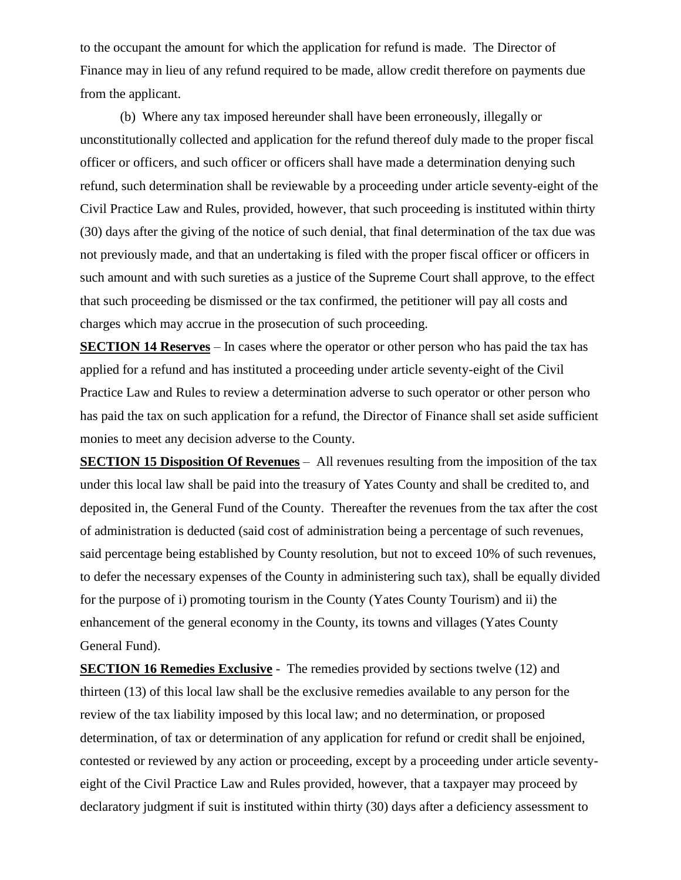to the occupant the amount for which the application for refund is made. The Director of Finance may in lieu of any refund required to be made, allow credit therefore on payments due from the applicant.

(b) Where any tax imposed hereunder shall have been erroneously, illegally or unconstitutionally collected and application for the refund thereof duly made to the proper fiscal officer or officers, and such officer or officers shall have made a determination denying such refund, such determination shall be reviewable by a proceeding under article seventy-eight of the Civil Practice Law and Rules, provided, however, that such proceeding is instituted within thirty (30) days after the giving of the notice of such denial, that final determination of the tax due was not previously made, and that an undertaking is filed with the proper fiscal officer or officers in such amount and with such sureties as a justice of the Supreme Court shall approve, to the effect that such proceeding be dismissed or the tax confirmed, the petitioner will pay all costs and charges which may accrue in the prosecution of such proceeding.

**SECTION 14 Reserves** – In cases where the operator or other person who has paid the tax has applied for a refund and has instituted a proceeding under article seventy-eight of the Civil Practice Law and Rules to review a determination adverse to such operator or other person who has paid the tax on such application for a refund, the Director of Finance shall set aside sufficient monies to meet any decision adverse to the County.

**SECTION 15 Disposition Of Revenues** – All revenues resulting from the imposition of the tax under this local law shall be paid into the treasury of Yates County and shall be credited to, and deposited in, the General Fund of the County. Thereafter the revenues from the tax after the cost of administration is deducted (said cost of administration being a percentage of such revenues, said percentage being established by County resolution, but not to exceed 10% of such revenues, to defer the necessary expenses of the County in administering such tax), shall be equally divided for the purpose of i) promoting tourism in the County (Yates County Tourism) and ii) the enhancement of the general economy in the County, its towns and villages (Yates County General Fund).

**SECTION 16 Remedies Exclusive** - The remedies provided by sections twelve (12) and thirteen (13) of this local law shall be the exclusive remedies available to any person for the review of the tax liability imposed by this local law; and no determination, or proposed determination, of tax or determination of any application for refund or credit shall be enjoined, contested or reviewed by any action or proceeding, except by a proceeding under article seventyeight of the Civil Practice Law and Rules provided, however, that a taxpayer may proceed by declaratory judgment if suit is instituted within thirty (30) days after a deficiency assessment to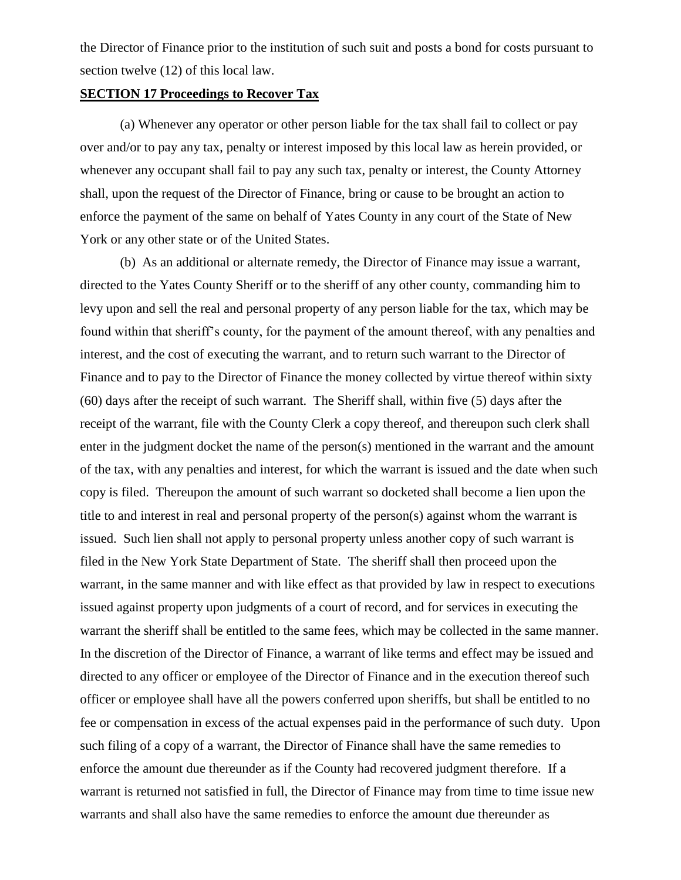the Director of Finance prior to the institution of such suit and posts a bond for costs pursuant to section twelve (12) of this local law.

#### **SECTION 17 Proceedings to Recover Tax**

(a) Whenever any operator or other person liable for the tax shall fail to collect or pay over and/or to pay any tax, penalty or interest imposed by this local law as herein provided, or whenever any occupant shall fail to pay any such tax, penalty or interest, the County Attorney shall, upon the request of the Director of Finance, bring or cause to be brought an action to enforce the payment of the same on behalf of Yates County in any court of the State of New York or any other state or of the United States.

(b) As an additional or alternate remedy, the Director of Finance may issue a warrant, directed to the Yates County Sheriff or to the sheriff of any other county, commanding him to levy upon and sell the real and personal property of any person liable for the tax, which may be found within that sheriff's county, for the payment of the amount thereof, with any penalties and interest, and the cost of executing the warrant, and to return such warrant to the Director of Finance and to pay to the Director of Finance the money collected by virtue thereof within sixty (60) days after the receipt of such warrant. The Sheriff shall, within five (5) days after the receipt of the warrant, file with the County Clerk a copy thereof, and thereupon such clerk shall enter in the judgment docket the name of the person(s) mentioned in the warrant and the amount of the tax, with any penalties and interest, for which the warrant is issued and the date when such copy is filed. Thereupon the amount of such warrant so docketed shall become a lien upon the title to and interest in real and personal property of the person(s) against whom the warrant is issued. Such lien shall not apply to personal property unless another copy of such warrant is filed in the New York State Department of State. The sheriff shall then proceed upon the warrant, in the same manner and with like effect as that provided by law in respect to executions issued against property upon judgments of a court of record, and for services in executing the warrant the sheriff shall be entitled to the same fees, which may be collected in the same manner. In the discretion of the Director of Finance, a warrant of like terms and effect may be issued and directed to any officer or employee of the Director of Finance and in the execution thereof such officer or employee shall have all the powers conferred upon sheriffs, but shall be entitled to no fee or compensation in excess of the actual expenses paid in the performance of such duty. Upon such filing of a copy of a warrant, the Director of Finance shall have the same remedies to enforce the amount due thereunder as if the County had recovered judgment therefore. If a warrant is returned not satisfied in full, the Director of Finance may from time to time issue new warrants and shall also have the same remedies to enforce the amount due thereunder as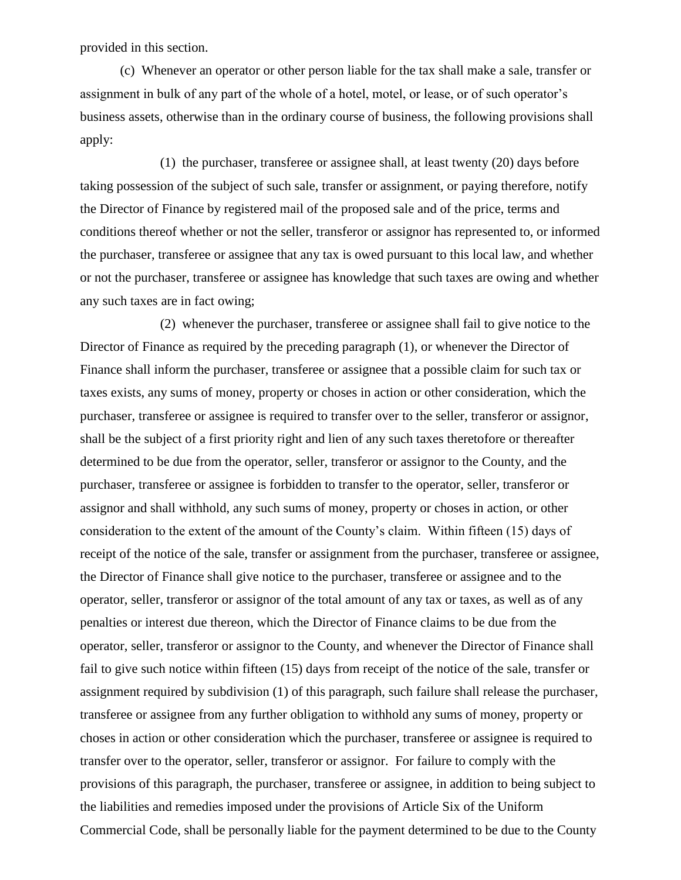provided in this section.

(c) Whenever an operator or other person liable for the tax shall make a sale, transfer or assignment in bulk of any part of the whole of a hotel, motel, or lease, or of such operator's business assets, otherwise than in the ordinary course of business, the following provisions shall apply:

(1) the purchaser, transferee or assignee shall, at least twenty (20) days before taking possession of the subject of such sale, transfer or assignment, or paying therefore, notify the Director of Finance by registered mail of the proposed sale and of the price, terms and conditions thereof whether or not the seller, transferor or assignor has represented to, or informed the purchaser, transferee or assignee that any tax is owed pursuant to this local law, and whether or not the purchaser, transferee or assignee has knowledge that such taxes are owing and whether any such taxes are in fact owing;

(2) whenever the purchaser, transferee or assignee shall fail to give notice to the Director of Finance as required by the preceding paragraph (1), or whenever the Director of Finance shall inform the purchaser, transferee or assignee that a possible claim for such tax or taxes exists, any sums of money, property or choses in action or other consideration, which the purchaser, transferee or assignee is required to transfer over to the seller, transferor or assignor, shall be the subject of a first priority right and lien of any such taxes theretofore or thereafter determined to be due from the operator, seller, transferor or assignor to the County, and the purchaser, transferee or assignee is forbidden to transfer to the operator, seller, transferor or assignor and shall withhold, any such sums of money, property or choses in action, or other consideration to the extent of the amount of the County's claim. Within fifteen (15) days of receipt of the notice of the sale, transfer or assignment from the purchaser, transferee or assignee, the Director of Finance shall give notice to the purchaser, transferee or assignee and to the operator, seller, transferor or assignor of the total amount of any tax or taxes, as well as of any penalties or interest due thereon, which the Director of Finance claims to be due from the operator, seller, transferor or assignor to the County, and whenever the Director of Finance shall fail to give such notice within fifteen (15) days from receipt of the notice of the sale, transfer or assignment required by subdivision (1) of this paragraph, such failure shall release the purchaser, transferee or assignee from any further obligation to withhold any sums of money, property or choses in action or other consideration which the purchaser, transferee or assignee is required to transfer over to the operator, seller, transferor or assignor. For failure to comply with the provisions of this paragraph, the purchaser, transferee or assignee, in addition to being subject to the liabilities and remedies imposed under the provisions of Article Six of the Uniform Commercial Code, shall be personally liable for the payment determined to be due to the County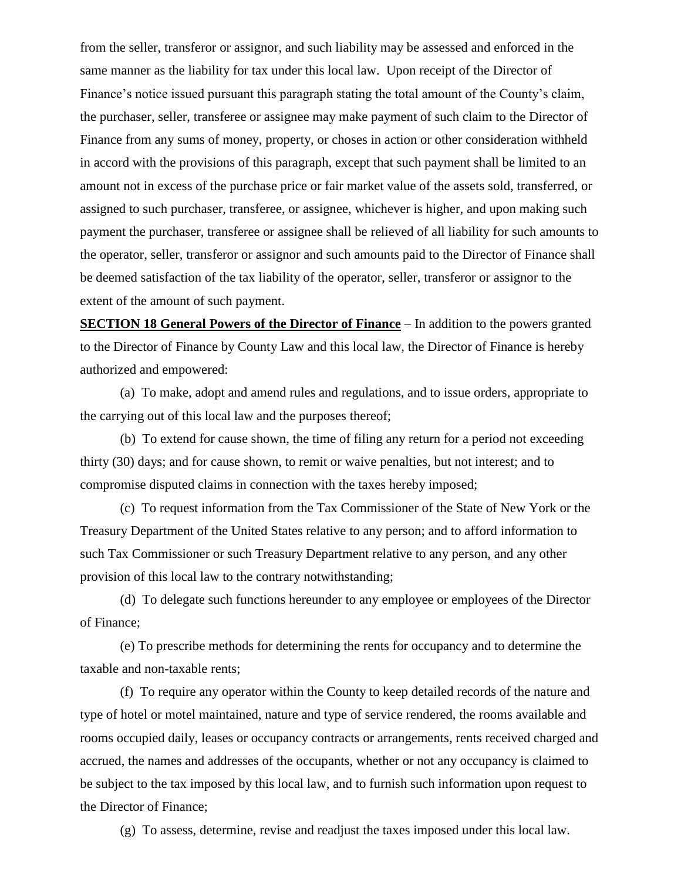from the seller, transferor or assignor, and such liability may be assessed and enforced in the same manner as the liability for tax under this local law. Upon receipt of the Director of Finance's notice issued pursuant this paragraph stating the total amount of the County's claim, the purchaser, seller, transferee or assignee may make payment of such claim to the Director of Finance from any sums of money, property, or choses in action or other consideration withheld in accord with the provisions of this paragraph, except that such payment shall be limited to an amount not in excess of the purchase price or fair market value of the assets sold, transferred, or assigned to such purchaser, transferee, or assignee, whichever is higher, and upon making such payment the purchaser, transferee or assignee shall be relieved of all liability for such amounts to the operator, seller, transferor or assignor and such amounts paid to the Director of Finance shall be deemed satisfaction of the tax liability of the operator, seller, transferor or assignor to the extent of the amount of such payment.

**SECTION 18 General Powers of the Director of Finance** – In addition to the powers granted to the Director of Finance by County Law and this local law, the Director of Finance is hereby authorized and empowered:

(a) To make, adopt and amend rules and regulations, and to issue orders, appropriate to the carrying out of this local law and the purposes thereof;

(b) To extend for cause shown, the time of filing any return for a period not exceeding thirty (30) days; and for cause shown, to remit or waive penalties, but not interest; and to compromise disputed claims in connection with the taxes hereby imposed;

(c) To request information from the Tax Commissioner of the State of New York or the Treasury Department of the United States relative to any person; and to afford information to such Tax Commissioner or such Treasury Department relative to any person, and any other provision of this local law to the contrary notwithstanding;

(d) To delegate such functions hereunder to any employee or employees of the Director of Finance;

(e) To prescribe methods for determining the rents for occupancy and to determine the taxable and non-taxable rents;

(f) To require any operator within the County to keep detailed records of the nature and type of hotel or motel maintained, nature and type of service rendered, the rooms available and rooms occupied daily, leases or occupancy contracts or arrangements, rents received charged and accrued, the names and addresses of the occupants, whether or not any occupancy is claimed to be subject to the tax imposed by this local law, and to furnish such information upon request to the Director of Finance;

(g) To assess, determine, revise and readjust the taxes imposed under this local law.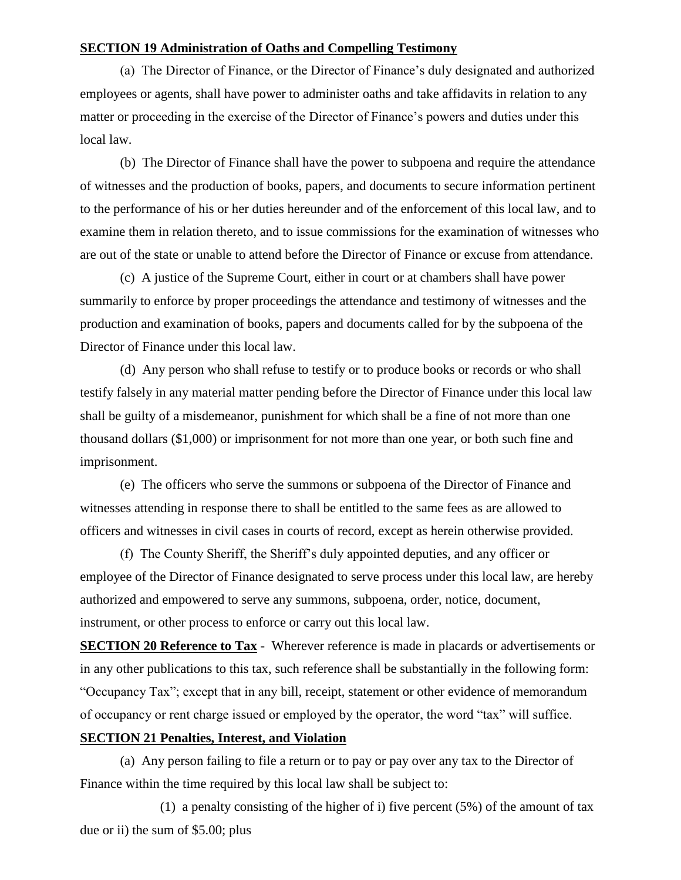#### **SECTION 19 Administration of Oaths and Compelling Testimony**

(a) The Director of Finance, or the Director of Finance's duly designated and authorized employees or agents, shall have power to administer oaths and take affidavits in relation to any matter or proceeding in the exercise of the Director of Finance's powers and duties under this local law.

(b) The Director of Finance shall have the power to subpoena and require the attendance of witnesses and the production of books, papers, and documents to secure information pertinent to the performance of his or her duties hereunder and of the enforcement of this local law, and to examine them in relation thereto, and to issue commissions for the examination of witnesses who are out of the state or unable to attend before the Director of Finance or excuse from attendance.

(c) A justice of the Supreme Court, either in court or at chambers shall have power summarily to enforce by proper proceedings the attendance and testimony of witnesses and the production and examination of books, papers and documents called for by the subpoena of the Director of Finance under this local law.

(d) Any person who shall refuse to testify or to produce books or records or who shall testify falsely in any material matter pending before the Director of Finance under this local law shall be guilty of a misdemeanor, punishment for which shall be a fine of not more than one thousand dollars (\$1,000) or imprisonment for not more than one year, or both such fine and imprisonment.

(e) The officers who serve the summons or subpoena of the Director of Finance and witnesses attending in response there to shall be entitled to the same fees as are allowed to officers and witnesses in civil cases in courts of record, except as herein otherwise provided.

(f) The County Sheriff, the Sheriff's duly appointed deputies, and any officer or employee of the Director of Finance designated to serve process under this local law, are hereby authorized and empowered to serve any summons, subpoena, order, notice, document, instrument, or other process to enforce or carry out this local law.

**SECTION 20 Reference to Tax** - Wherever reference is made in placards or advertisements or in any other publications to this tax, such reference shall be substantially in the following form: "Occupancy Tax"; except that in any bill, receipt, statement or other evidence of memorandum of occupancy or rent charge issued or employed by the operator, the word "tax" will suffice.

## **SECTION 21 Penalties, Interest, and Violation**

(a) Any person failing to file a return or to pay or pay over any tax to the Director of Finance within the time required by this local law shall be subject to:

(1) a penalty consisting of the higher of i) five percent (5%) of the amount of tax due or ii) the sum of \$5.00; plus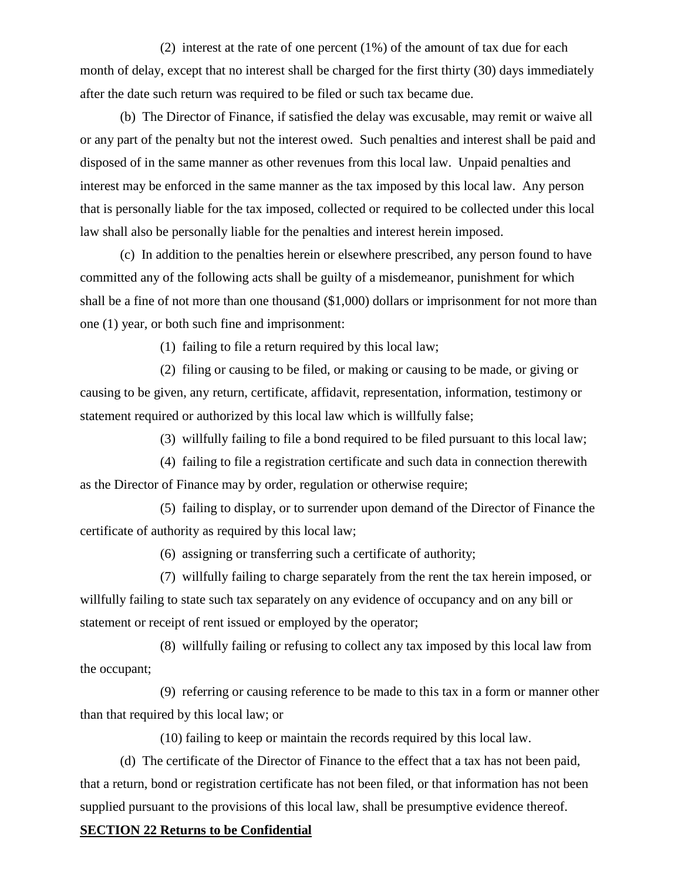(2) interest at the rate of one percent (1%) of the amount of tax due for each month of delay, except that no interest shall be charged for the first thirty (30) days immediately after the date such return was required to be filed or such tax became due.

(b) The Director of Finance, if satisfied the delay was excusable, may remit or waive all or any part of the penalty but not the interest owed. Such penalties and interest shall be paid and disposed of in the same manner as other revenues from this local law. Unpaid penalties and interest may be enforced in the same manner as the tax imposed by this local law. Any person that is personally liable for the tax imposed, collected or required to be collected under this local law shall also be personally liable for the penalties and interest herein imposed.

(c) In addition to the penalties herein or elsewhere prescribed, any person found to have committed any of the following acts shall be guilty of a misdemeanor, punishment for which shall be a fine of not more than one thousand (\$1,000) dollars or imprisonment for not more than one (1) year, or both such fine and imprisonment:

(1) failing to file a return required by this local law;

(2) filing or causing to be filed, or making or causing to be made, or giving or causing to be given, any return, certificate, affidavit, representation, information, testimony or statement required or authorized by this local law which is willfully false;

(3) willfully failing to file a bond required to be filed pursuant to this local law;

(4) failing to file a registration certificate and such data in connection therewith as the Director of Finance may by order, regulation or otherwise require;

(5) failing to display, or to surrender upon demand of the Director of Finance the certificate of authority as required by this local law;

(6) assigning or transferring such a certificate of authority;

(7) willfully failing to charge separately from the rent the tax herein imposed, or willfully failing to state such tax separately on any evidence of occupancy and on any bill or statement or receipt of rent issued or employed by the operator;

(8) willfully failing or refusing to collect any tax imposed by this local law from the occupant;

(9) referring or causing reference to be made to this tax in a form or manner other than that required by this local law; or

(10) failing to keep or maintain the records required by this local law.

(d) The certificate of the Director of Finance to the effect that a tax has not been paid, that a return, bond or registration certificate has not been filed, or that information has not been supplied pursuant to the provisions of this local law, shall be presumptive evidence thereof.

#### **SECTION 22 Returns to be Confidential**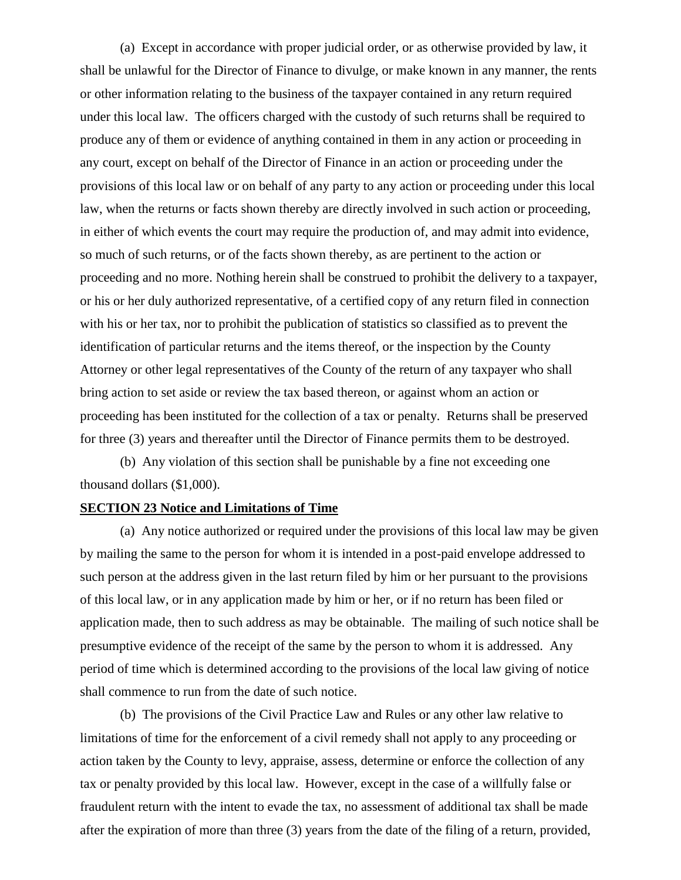(a) Except in accordance with proper judicial order, or as otherwise provided by law, it shall be unlawful for the Director of Finance to divulge, or make known in any manner, the rents or other information relating to the business of the taxpayer contained in any return required under this local law. The officers charged with the custody of such returns shall be required to produce any of them or evidence of anything contained in them in any action or proceeding in any court, except on behalf of the Director of Finance in an action or proceeding under the provisions of this local law or on behalf of any party to any action or proceeding under this local law, when the returns or facts shown thereby are directly involved in such action or proceeding, in either of which events the court may require the production of, and may admit into evidence, so much of such returns, or of the facts shown thereby, as are pertinent to the action or proceeding and no more. Nothing herein shall be construed to prohibit the delivery to a taxpayer, or his or her duly authorized representative, of a certified copy of any return filed in connection with his or her tax, nor to prohibit the publication of statistics so classified as to prevent the identification of particular returns and the items thereof, or the inspection by the County Attorney or other legal representatives of the County of the return of any taxpayer who shall bring action to set aside or review the tax based thereon, or against whom an action or proceeding has been instituted for the collection of a tax or penalty. Returns shall be preserved for three (3) years and thereafter until the Director of Finance permits them to be destroyed.

(b) Any violation of this section shall be punishable by a fine not exceeding one thousand dollars (\$1,000).

#### **SECTION 23 Notice and Limitations of Time**

(a) Any notice authorized or required under the provisions of this local law may be given by mailing the same to the person for whom it is intended in a post-paid envelope addressed to such person at the address given in the last return filed by him or her pursuant to the provisions of this local law, or in any application made by him or her, or if no return has been filed or application made, then to such address as may be obtainable. The mailing of such notice shall be presumptive evidence of the receipt of the same by the person to whom it is addressed. Any period of time which is determined according to the provisions of the local law giving of notice shall commence to run from the date of such notice.

(b) The provisions of the Civil Practice Law and Rules or any other law relative to limitations of time for the enforcement of a civil remedy shall not apply to any proceeding or action taken by the County to levy, appraise, assess, determine or enforce the collection of any tax or penalty provided by this local law. However, except in the case of a willfully false or fraudulent return with the intent to evade the tax, no assessment of additional tax shall be made after the expiration of more than three (3) years from the date of the filing of a return, provided,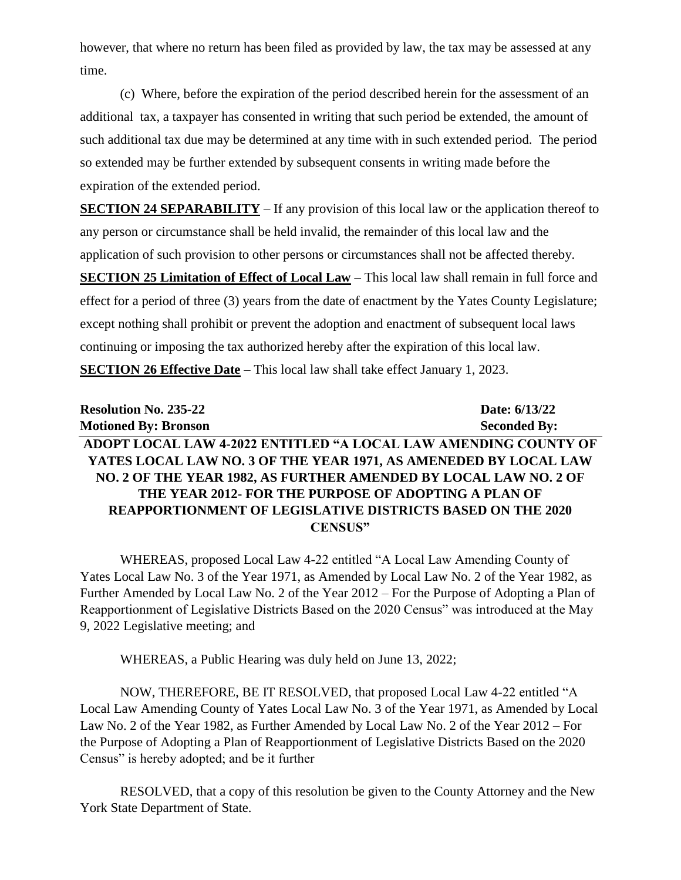however, that where no return has been filed as provided by law, the tax may be assessed at any time.

(c) Where, before the expiration of the period described herein for the assessment of an additional tax, a taxpayer has consented in writing that such period be extended, the amount of such additional tax due may be determined at any time with in such extended period. The period so extended may be further extended by subsequent consents in writing made before the expiration of the extended period.

**SECTION 24 SEPARABILITY** – If any provision of this local law or the application thereof to any person or circumstance shall be held invalid, the remainder of this local law and the application of such provision to other persons or circumstances shall not be affected thereby. **SECTION 25 Limitation of Effect of Local Law** – This local law shall remain in full force and effect for a period of three (3) years from the date of enactment by the Yates County Legislature; except nothing shall prohibit or prevent the adoption and enactment of subsequent local laws continuing or imposing the tax authorized hereby after the expiration of this local law. **SECTION 26 Effective Date** – This local law shall take effect January 1, 2023.

| <b>Resolution No. 235-22</b>                                      | Date: 6/13/22       |
|-------------------------------------------------------------------|---------------------|
| <b>Motioned By: Bronson</b>                                       | <b>Seconded By:</b> |
| ADOPT LOCAL LAW 4-2022 ENTITLED "A LOCAL LAW AMENDING COUNTY OF   |                     |
| YATES LOCAL LAW NO. 3 OF THE YEAR 1971, AS AMENEDED BY LOCAL LAW  |                     |
| NO. 2 OF THE YEAR 1982, AS FURTHER AMENDED BY LOCAL LAW NO. 2 OF  |                     |
| THE YEAR 2012- FOR THE PURPOSE OF ADOPTING A PLAN OF              |                     |
| <b>REAPPORTIONMENT OF LEGISLATIVE DISTRICTS BASED ON THE 2020</b> |                     |
| CENSUS"                                                           |                     |

WHEREAS, proposed Local Law 4-22 entitled "A Local Law Amending County of Yates Local Law No. 3 of the Year 1971, as Amended by Local Law No. 2 of the Year 1982, as Further Amended by Local Law No. 2 of the Year 2012 – For the Purpose of Adopting a Plan of Reapportionment of Legislative Districts Based on the 2020 Census" was introduced at the May 9, 2022 Legislative meeting; and

WHEREAS, a Public Hearing was duly held on June 13, 2022;

NOW, THEREFORE, BE IT RESOLVED, that proposed Local Law 4-22 entitled "A Local Law Amending County of Yates Local Law No. 3 of the Year 1971, as Amended by Local Law No. 2 of the Year 1982, as Further Amended by Local Law No. 2 of the Year 2012 – For the Purpose of Adopting a Plan of Reapportionment of Legislative Districts Based on the 2020 Census" is hereby adopted; and be it further

RESOLVED, that a copy of this resolution be given to the County Attorney and the New York State Department of State.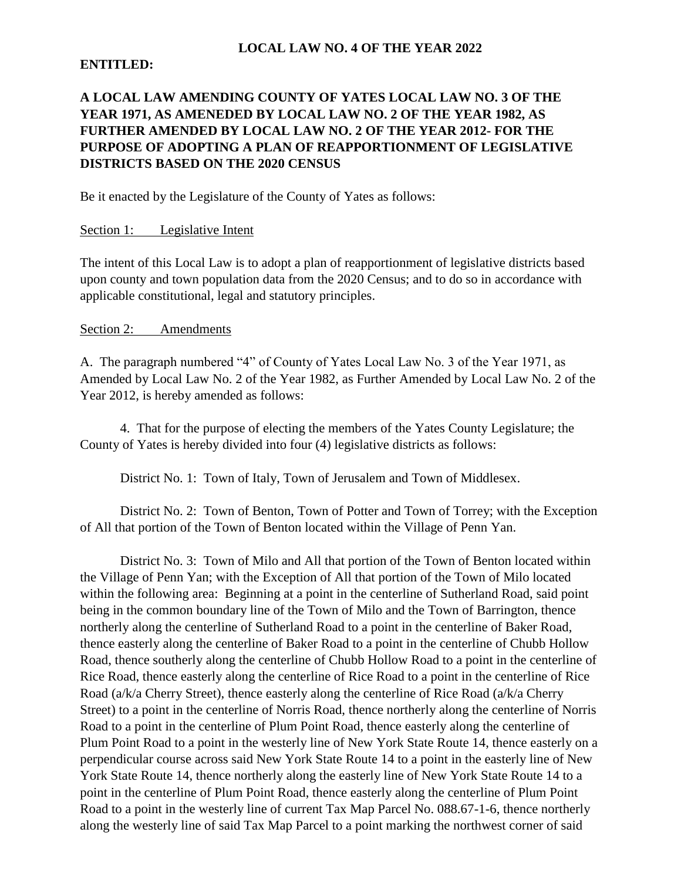#### **LOCAL LAW NO. 4 OF THE YEAR 2022**

## **ENTITLED:**

# **A LOCAL LAW AMENDING COUNTY OF YATES LOCAL LAW NO. 3 OF THE YEAR 1971, AS AMENEDED BY LOCAL LAW NO. 2 OF THE YEAR 1982, AS FURTHER AMENDED BY LOCAL LAW NO. 2 OF THE YEAR 2012- FOR THE PURPOSE OF ADOPTING A PLAN OF REAPPORTIONMENT OF LEGISLATIVE DISTRICTS BASED ON THE 2020 CENSUS**

Be it enacted by the Legislature of the County of Yates as follows:

## Section 1: Legislative Intent

The intent of this Local Law is to adopt a plan of reapportionment of legislative districts based upon county and town population data from the 2020 Census; and to do so in accordance with applicable constitutional, legal and statutory principles.

#### Section 2: Amendments

A. The paragraph numbered "4" of County of Yates Local Law No. 3 of the Year 1971, as Amended by Local Law No. 2 of the Year 1982, as Further Amended by Local Law No. 2 of the Year 2012, is hereby amended as follows:

4. That for the purpose of electing the members of the Yates County Legislature; the County of Yates is hereby divided into four (4) legislative districts as follows:

District No. 1: Town of Italy, Town of Jerusalem and Town of Middlesex.

District No. 2: Town of Benton, Town of Potter and Town of Torrey; with the Exception of All that portion of the Town of Benton located within the Village of Penn Yan.

District No. 3: Town of Milo and All that portion of the Town of Benton located within the Village of Penn Yan; with the Exception of All that portion of the Town of Milo located within the following area: Beginning at a point in the centerline of Sutherland Road, said point being in the common boundary line of the Town of Milo and the Town of Barrington, thence northerly along the centerline of Sutherland Road to a point in the centerline of Baker Road, thence easterly along the centerline of Baker Road to a point in the centerline of Chubb Hollow Road, thence southerly along the centerline of Chubb Hollow Road to a point in the centerline of Rice Road, thence easterly along the centerline of Rice Road to a point in the centerline of Rice Road (a/k/a Cherry Street), thence easterly along the centerline of Rice Road (a/k/a Cherry Street) to a point in the centerline of Norris Road, thence northerly along the centerline of Norris Road to a point in the centerline of Plum Point Road, thence easterly along the centerline of Plum Point Road to a point in the westerly line of New York State Route 14, thence easterly on a perpendicular course across said New York State Route 14 to a point in the easterly line of New York State Route 14, thence northerly along the easterly line of New York State Route 14 to a point in the centerline of Plum Point Road, thence easterly along the centerline of Plum Point Road to a point in the westerly line of current Tax Map Parcel No. 088.67-1-6, thence northerly along the westerly line of said Tax Map Parcel to a point marking the northwest corner of said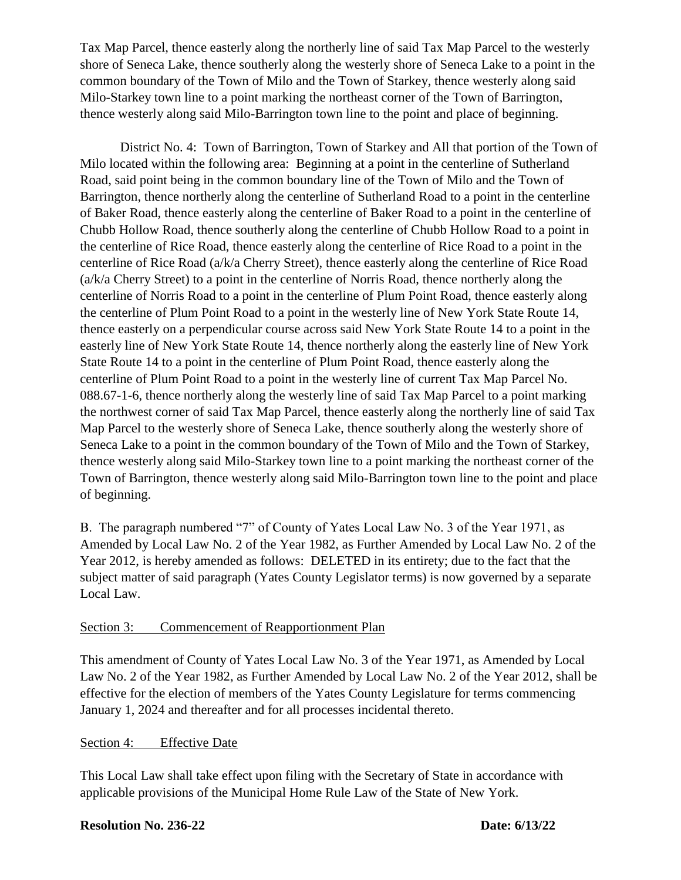Tax Map Parcel, thence easterly along the northerly line of said Tax Map Parcel to the westerly shore of Seneca Lake, thence southerly along the westerly shore of Seneca Lake to a point in the common boundary of the Town of Milo and the Town of Starkey, thence westerly along said Milo-Starkey town line to a point marking the northeast corner of the Town of Barrington, thence westerly along said Milo-Barrington town line to the point and place of beginning.

District No. 4: Town of Barrington, Town of Starkey and All that portion of the Town of Milo located within the following area: Beginning at a point in the centerline of Sutherland Road, said point being in the common boundary line of the Town of Milo and the Town of Barrington, thence northerly along the centerline of Sutherland Road to a point in the centerline of Baker Road, thence easterly along the centerline of Baker Road to a point in the centerline of Chubb Hollow Road, thence southerly along the centerline of Chubb Hollow Road to a point in the centerline of Rice Road, thence easterly along the centerline of Rice Road to a point in the centerline of Rice Road (a/k/a Cherry Street), thence easterly along the centerline of Rice Road (a/k/a Cherry Street) to a point in the centerline of Norris Road, thence northerly along the centerline of Norris Road to a point in the centerline of Plum Point Road, thence easterly along the centerline of Plum Point Road to a point in the westerly line of New York State Route 14, thence easterly on a perpendicular course across said New York State Route 14 to a point in the easterly line of New York State Route 14, thence northerly along the easterly line of New York State Route 14 to a point in the centerline of Plum Point Road, thence easterly along the centerline of Plum Point Road to a point in the westerly line of current Tax Map Parcel No. 088.67-1-6, thence northerly along the westerly line of said Tax Map Parcel to a point marking the northwest corner of said Tax Map Parcel, thence easterly along the northerly line of said Tax Map Parcel to the westerly shore of Seneca Lake, thence southerly along the westerly shore of Seneca Lake to a point in the common boundary of the Town of Milo and the Town of Starkey, thence westerly along said Milo-Starkey town line to a point marking the northeast corner of the Town of Barrington, thence westerly along said Milo-Barrington town line to the point and place of beginning.

B. The paragraph numbered "7" of County of Yates Local Law No. 3 of the Year 1971, as Amended by Local Law No. 2 of the Year 1982, as Further Amended by Local Law No. 2 of the Year 2012, is hereby amended as follows: DELETED in its entirety; due to the fact that the subject matter of said paragraph (Yates County Legislator terms) is now governed by a separate Local Law.

# Section 3: Commencement of Reapportionment Plan

This amendment of County of Yates Local Law No. 3 of the Year 1971, as Amended by Local Law No. 2 of the Year 1982, as Further Amended by Local Law No. 2 of the Year 2012, shall be effective for the election of members of the Yates County Legislature for terms commencing January 1, 2024 and thereafter and for all processes incidental thereto.

#### Section 4: Effective Date

This Local Law shall take effect upon filing with the Secretary of State in accordance with applicable provisions of the Municipal Home Rule Law of the State of New York.

# **Resolution No. 236-22 Date: 6/13/22**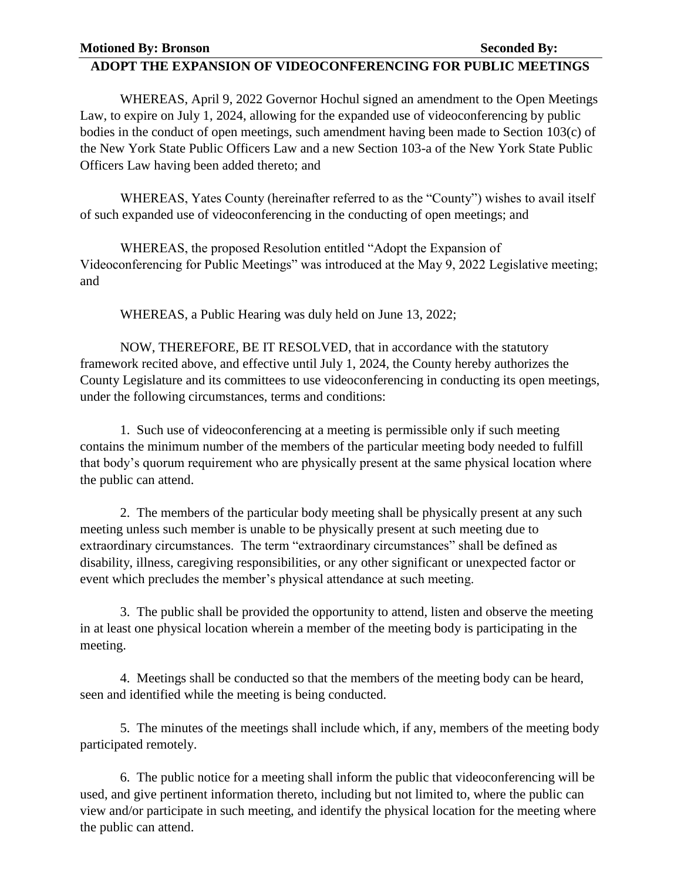## **ADOPT THE EXPANSION OF VIDEOCONFERENCING FOR PUBLIC MEETINGS**

WHEREAS, April 9, 2022 Governor Hochul signed an amendment to the Open Meetings Law, to expire on July 1, 2024, allowing for the expanded use of videoconferencing by public bodies in the conduct of open meetings, such amendment having been made to Section 103(c) of the New York State Public Officers Law and a new Section 103-a of the New York State Public Officers Law having been added thereto; and

WHEREAS, Yates County (hereinafter referred to as the "County") wishes to avail itself of such expanded use of videoconferencing in the conducting of open meetings; and

WHEREAS, the proposed Resolution entitled "Adopt the Expansion of Videoconferencing for Public Meetings" was introduced at the May 9, 2022 Legislative meeting; and

WHEREAS, a Public Hearing was duly held on June 13, 2022;

NOW, THEREFORE, BE IT RESOLVED, that in accordance with the statutory framework recited above, and effective until July 1, 2024, the County hereby authorizes the County Legislature and its committees to use videoconferencing in conducting its open meetings, under the following circumstances, terms and conditions:

1. Such use of videoconferencing at a meeting is permissible only if such meeting contains the minimum number of the members of the particular meeting body needed to fulfill that body's quorum requirement who are physically present at the same physical location where the public can attend.

2. The members of the particular body meeting shall be physically present at any such meeting unless such member is unable to be physically present at such meeting due to extraordinary circumstances. The term "extraordinary circumstances" shall be defined as disability, illness, caregiving responsibilities, or any other significant or unexpected factor or event which precludes the member's physical attendance at such meeting.

3. The public shall be provided the opportunity to attend, listen and observe the meeting in at least one physical location wherein a member of the meeting body is participating in the meeting.

4. Meetings shall be conducted so that the members of the meeting body can be heard, seen and identified while the meeting is being conducted.

5. The minutes of the meetings shall include which, if any, members of the meeting body participated remotely.

6. The public notice for a meeting shall inform the public that videoconferencing will be used, and give pertinent information thereto, including but not limited to, where the public can view and/or participate in such meeting, and identify the physical location for the meeting where the public can attend.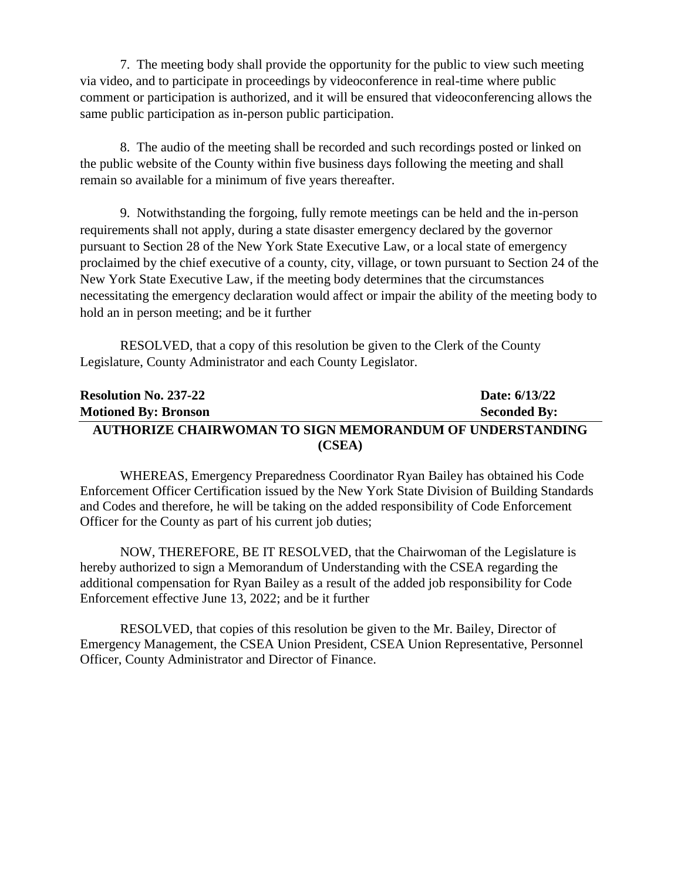7. The meeting body shall provide the opportunity for the public to view such meeting via video, and to participate in proceedings by videoconference in real-time where public comment or participation is authorized, and it will be ensured that videoconferencing allows the same public participation as in-person public participation.

8. The audio of the meeting shall be recorded and such recordings posted or linked on the public website of the County within five business days following the meeting and shall remain so available for a minimum of five years thereafter.

9. Notwithstanding the forgoing, fully remote meetings can be held and the in-person requirements shall not apply, during a state disaster emergency declared by the governor pursuant to Section 28 of the New York State Executive Law, or a local state of emergency proclaimed by the chief executive of a county, city, village, or town pursuant to Section 24 of the New York State Executive Law, if the meeting body determines that the circumstances necessitating the emergency declaration would affect or impair the ability of the meeting body to hold an in person meeting; and be it further

RESOLVED, that a copy of this resolution be given to the Clerk of the County Legislature, County Administrator and each County Legislator.

| <b>Resolution No. 237-22</b>                             | Date: 6/13/22       |
|----------------------------------------------------------|---------------------|
| <b>Motioned By: Bronson</b>                              | <b>Seconded By:</b> |
| AUTHORIZE CHAIRWOMAN TO SIGN MEMORANDUM OF UNDERSTANDING |                     |
| (CSEA)                                                   |                     |

WHEREAS, Emergency Preparedness Coordinator Ryan Bailey has obtained his Code Enforcement Officer Certification issued by the New York State Division of Building Standards and Codes and therefore, he will be taking on the added responsibility of Code Enforcement Officer for the County as part of his current job duties;

NOW, THEREFORE, BE IT RESOLVED, that the Chairwoman of the Legislature is hereby authorized to sign a Memorandum of Understanding with the CSEA regarding the additional compensation for Ryan Bailey as a result of the added job responsibility for Code Enforcement effective June 13, 2022; and be it further

RESOLVED, that copies of this resolution be given to the Mr. Bailey, Director of Emergency Management, the CSEA Union President, CSEA Union Representative, Personnel Officer, County Administrator and Director of Finance.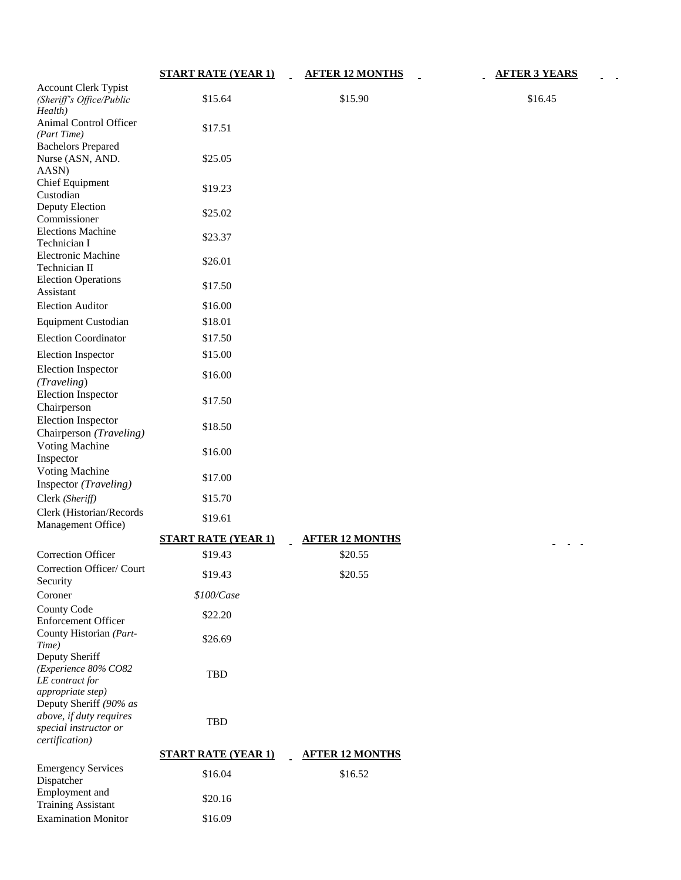|                                                                                        | <b>START RATE (YEAR 1)</b> | <b>AFTER 12 MONTHS</b> | <b>AFTER 3 YEARS</b> |
|----------------------------------------------------------------------------------------|----------------------------|------------------------|----------------------|
| <b>Account Clerk Typist</b><br>(Sheriff's Office/Public<br>Health)                     | \$15.64                    | \$15.90                | \$16.45              |
| Animal Control Officer<br>(Part Time)                                                  | \$17.51                    |                        |                      |
| <b>Bachelors Prepared</b><br>Nurse (ASN, AND.<br>AASN)                                 | \$25.05                    |                        |                      |
| <b>Chief Equipment</b><br>Custodian                                                    | \$19.23                    |                        |                      |
| Deputy Election<br>Commissioner                                                        | \$25.02                    |                        |                      |
| <b>Elections Machine</b><br>Technician I                                               | \$23.37                    |                        |                      |
| <b>Electronic Machine</b><br>Technician II                                             | \$26.01                    |                        |                      |
| <b>Election Operations</b><br>Assistant                                                | \$17.50                    |                        |                      |
| <b>Election Auditor</b>                                                                | \$16.00                    |                        |                      |
| <b>Equipment Custodian</b>                                                             | \$18.01                    |                        |                      |
| <b>Election Coordinator</b>                                                            | \$17.50                    |                        |                      |
| <b>Election Inspector</b>                                                              | \$15.00                    |                        |                      |
| <b>Election Inspector</b><br>(Traveling)                                               | \$16.00                    |                        |                      |
| <b>Election Inspector</b><br>Chairperson                                               | \$17.50                    |                        |                      |
| <b>Election Inspector</b><br>Chairperson (Traveling)                                   | \$18.50                    |                        |                      |
| <b>Voting Machine</b><br>Inspector                                                     | \$16.00                    |                        |                      |
| <b>Voting Machine</b><br>Inspector (Traveling)                                         | \$17.00                    |                        |                      |
| Clerk (Sheriff)<br>Clerk (Historian/Records                                            | \$15.70                    |                        |                      |
| Management Office)                                                                     | \$19.61                    |                        |                      |
|                                                                                        | <b>START RATE (YEAR 1)</b> | <b>AFTER 12 MONTHS</b> |                      |
| Correction Officer<br>Correction Officer/ Court                                        | \$19.43<br>\$19.43         | \$20.55<br>\$20.55     |                      |
| Security<br>Coroner                                                                    | \$100/Case                 |                        |                      |
| <b>County Code</b><br><b>Enforcement Officer</b>                                       | \$22.20                    |                        |                      |
| County Historian (Part-<br>Time)<br>Deputy Sheriff                                     | \$26.69                    |                        |                      |
| (Experience 80% CO82<br>LE contract for<br>appropriate step)<br>Deputy Sheriff (90% as | <b>TBD</b>                 |                        |                      |
| above, if duty requires<br>special instructor or<br>certification)                     | <b>TBD</b>                 |                        |                      |
|                                                                                        | <b>START RATE (YEAR 1)</b> | <b>AFTER 12 MONTHS</b> |                      |
| <b>Emergency Services</b><br>Dispatcher                                                | \$16.04                    | \$16.52                |                      |
| Employment and<br><b>Training Assistant</b>                                            | \$20.16                    |                        |                      |
| <b>Examination Monitor</b>                                                             | \$16.09                    |                        |                      |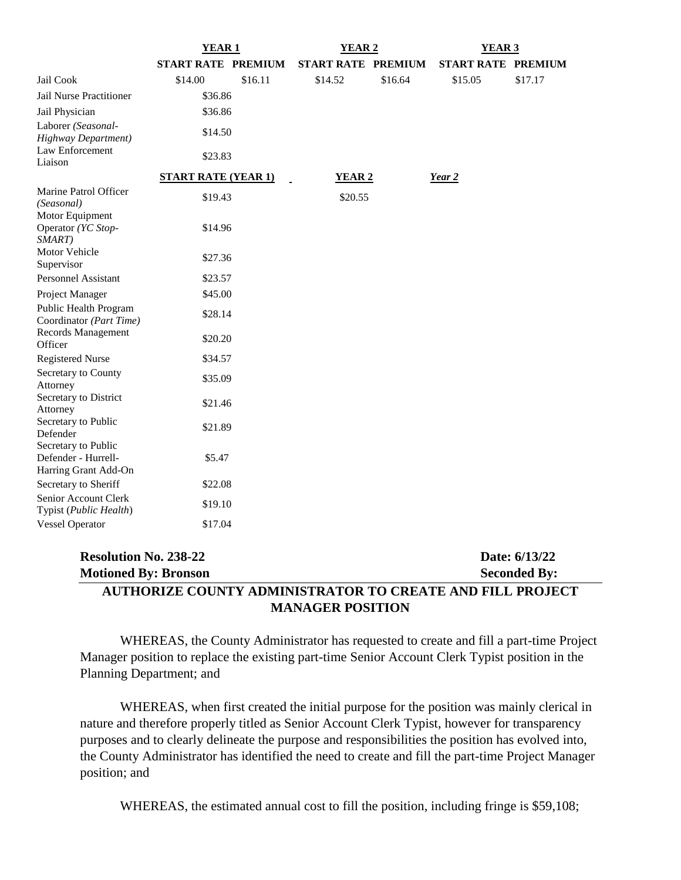|                                                                    | <b>YEAR1</b>               |         | YEAR 2                    |         | YEAR <sub>3</sub>         |                                      |
|--------------------------------------------------------------------|----------------------------|---------|---------------------------|---------|---------------------------|--------------------------------------|
|                                                                    | <b>START RATE PREMIUM</b>  |         | <b>START RATE PREMIUM</b> |         | <b>START RATE PREMIUM</b> |                                      |
| Jail Cook                                                          | \$14.00                    | \$16.11 | \$14.52                   | \$16.64 | \$15.05                   | \$17.17                              |
| Jail Nurse Practitioner                                            | \$36.86                    |         |                           |         |                           |                                      |
| Jail Physician                                                     | \$36.86                    |         |                           |         |                           |                                      |
| Laborer (Seasonal-<br><b>Highway Department)</b>                   | \$14.50                    |         |                           |         |                           |                                      |
| Law Enforcement<br>Liaison                                         | \$23.83                    |         |                           |         |                           |                                      |
|                                                                    | <b>START RATE (YEAR 1)</b> |         | <b>YEAR 2</b>             |         | Year 2                    |                                      |
| Marine Patrol Officer<br>(Seasonal)<br>Motor Equipment             | \$19.43                    |         | \$20.55                   |         |                           |                                      |
| Operator (YC Stop-<br>SMART)                                       | \$14.96                    |         |                           |         |                           |                                      |
| Motor Vehicle<br>Supervisor                                        | \$27.36                    |         |                           |         |                           |                                      |
| <b>Personnel Assistant</b>                                         | \$23.57                    |         |                           |         |                           |                                      |
| Project Manager                                                    | \$45.00                    |         |                           |         |                           |                                      |
| Public Health Program<br>Coordinator (Part Time)                   | \$28.14                    |         |                           |         |                           |                                      |
| <b>Records Management</b><br>Officer                               | \$20.20                    |         |                           |         |                           |                                      |
| <b>Registered Nurse</b>                                            | \$34.57                    |         |                           |         |                           |                                      |
| Secretary to County<br>Attorney                                    | \$35.09                    |         |                           |         |                           |                                      |
| Secretary to District<br>Attorney                                  | \$21.46                    |         |                           |         |                           |                                      |
| Secretary to Public<br>Defender                                    | \$21.89                    |         |                           |         |                           |                                      |
| Secretary to Public<br>Defender - Hurrell-<br>Harring Grant Add-On | \$5.47                     |         |                           |         |                           |                                      |
| Secretary to Sheriff                                               | \$22.08                    |         |                           |         |                           |                                      |
| Senior Account Clerk<br>Typist (Public Health)                     | \$19.10                    |         |                           |         |                           |                                      |
| <b>Vessel Operator</b>                                             | \$17.04                    |         |                           |         |                           |                                      |
| <b>Resolution No. 238-22</b><br><b>Motioned By: Bronson</b>        |                            |         |                           |         |                           | Date: 6/13/22<br><b>Seconded By:</b> |

# **AUTHORIZE COUNTY ADMINISTRATOR TO CREATE AND FILL PROJECT MANAGER POSITION**

WHEREAS, the County Administrator has requested to create and fill a part-time Project Manager position to replace the existing part-time Senior Account Clerk Typist position in the Planning Department; and

WHEREAS, when first created the initial purpose for the position was mainly clerical in nature and therefore properly titled as Senior Account Clerk Typist, however for transparency purposes and to clearly delineate the purpose and responsibilities the position has evolved into, the County Administrator has identified the need to create and fill the part-time Project Manager position; and

WHEREAS, the estimated annual cost to fill the position, including fringe is \$59,108;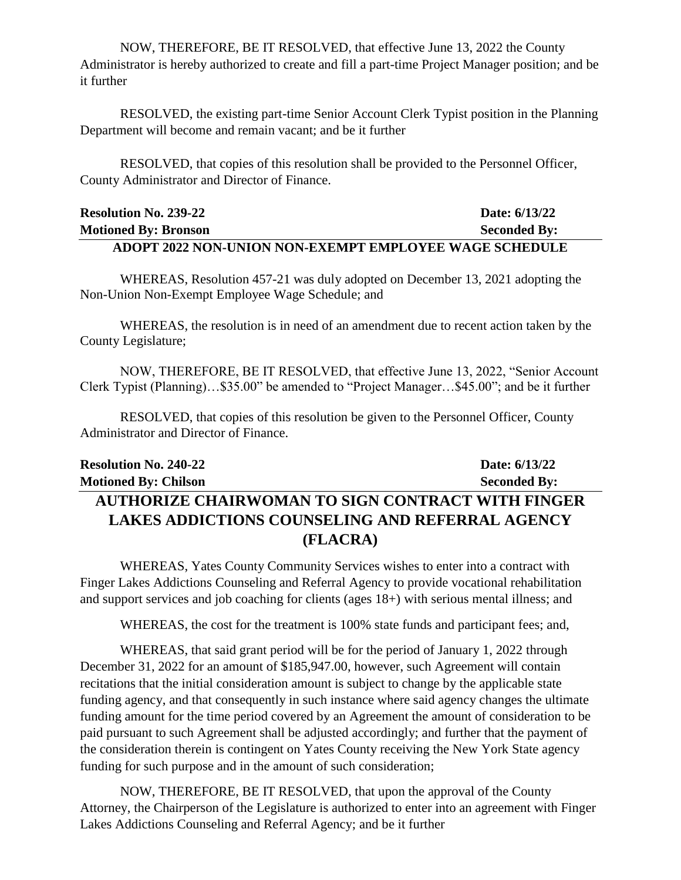NOW, THEREFORE, BE IT RESOLVED, that effective June 13, 2022 the County Administrator is hereby authorized to create and fill a part-time Project Manager position; and be it further

RESOLVED, the existing part-time Senior Account Clerk Typist position in the Planning Department will become and remain vacant; and be it further

RESOLVED, that copies of this resolution shall be provided to the Personnel Officer, County Administrator and Director of Finance.

| <b>Resolution No. 239-22</b>                                  | Date: 6/13/22       |
|---------------------------------------------------------------|---------------------|
| <b>Motioned By: Bronson</b>                                   | <b>Seconded By:</b> |
| <b>ADOPT 2022 NON-UNION NON-EXEMPT EMPLOYEE WAGE SCHEDULE</b> |                     |

WHEREAS, Resolution 457-21 was duly adopted on December 13, 2021 adopting the Non-Union Non-Exempt Employee Wage Schedule; and

WHEREAS, the resolution is in need of an amendment due to recent action taken by the County Legislature;

NOW, THEREFORE, BE IT RESOLVED, that effective June 13, 2022, "Senior Account Clerk Typist (Planning)…\$35.00" be amended to "Project Manager…\$45.00"; and be it further

RESOLVED, that copies of this resolution be given to the Personnel Officer, County Administrator and Director of Finance.

| <b>Resolution No. 240-22</b>                             | Date: 6/13/22       |
|----------------------------------------------------------|---------------------|
| <b>Motioned By: Chilson</b>                              | <b>Seconded By:</b> |
| <b>AUTHORIZE CHAIRWOMAN TO SIGN CONTRACT WITH FINGER</b> |                     |
| <b>LAKES ADDICTIONS COUNSELING AND REFERRAL AGENCY</b>   |                     |
| (FLACRA)                                                 |                     |

WHEREAS, Yates County Community Services wishes to enter into a contract with Finger Lakes Addictions Counseling and Referral Agency to provide vocational rehabilitation and support services and job coaching for clients (ages 18+) with serious mental illness; and

WHEREAS, the cost for the treatment is 100% state funds and participant fees; and,

WHEREAS, that said grant period will be for the period of January 1, 2022 through December 31, 2022 for an amount of \$185,947.00, however, such Agreement will contain recitations that the initial consideration amount is subject to change by the applicable state funding agency, and that consequently in such instance where said agency changes the ultimate funding amount for the time period covered by an Agreement the amount of consideration to be paid pursuant to such Agreement shall be adjusted accordingly; and further that the payment of the consideration therein is contingent on Yates County receiving the New York State agency funding for such purpose and in the amount of such consideration;

NOW, THEREFORE, BE IT RESOLVED, that upon the approval of the County Attorney, the Chairperson of the Legislature is authorized to enter into an agreement with Finger Lakes Addictions Counseling and Referral Agency; and be it further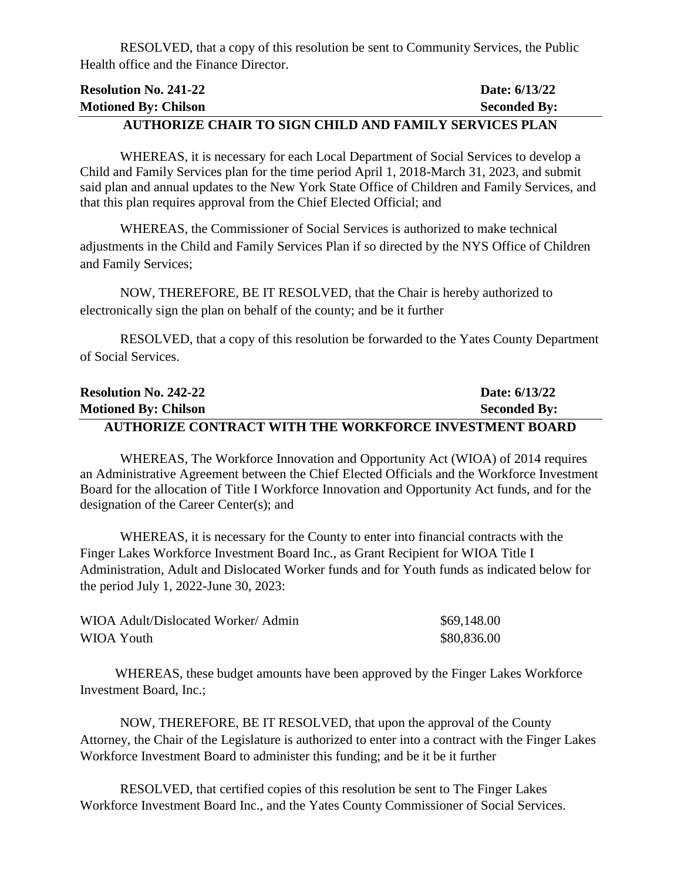RESOLVED, that a copy of this resolution be sent to Community Services, the Public Health office and the Finance Director.

| <b>Resolution No. 241-22</b>                               | Date: 6/13/22       |
|------------------------------------------------------------|---------------------|
| <b>Motioned By: Chilson</b>                                | <b>Seconded By:</b> |
| I URILANIZE AU I DA GLAV AUL N I ND EI MU V AENVIARA N I V |                     |

#### **AUTHORIZE CHAIR TO SIGN CHILD AND FAMILY SERVICES PLAN**

WHEREAS, it is necessary for each Local Department of Social Services to develop a Child and Family Services plan for the time period April 1, 2018-March 31, 2023, and submit said plan and annual updates to the New York State Office of Children and Family Services, and that this plan requires approval from the Chief Elected Official; and

WHEREAS, the Commissioner of Social Services is authorized to make technical adjustments in the Child and Family Services Plan if so directed by the NYS Office of Children and Family Services;

NOW, THEREFORE, BE IT RESOLVED, that the Chair is hereby authorized to electronically sign the plan on behalf of the county; and be it further

RESOLVED, that a copy of this resolution be forwarded to the Yates County Department of Social Services.

| <b>Resolution No. 242-22</b>                                  | Date: 6/13/22       |
|---------------------------------------------------------------|---------------------|
| <b>Motioned By: Chilson</b>                                   | <b>Seconded By:</b> |
| <b>AUTHORIZE CONTRACT WITH THE WORKFORCE INVESTMENT BOARD</b> |                     |

WHEREAS, The Workforce Innovation and Opportunity Act (WIOA) of 2014 requires an Administrative Agreement between the Chief Elected Officials and the Workforce Investment Board for the allocation of Title I Workforce Innovation and Opportunity Act funds, and for the designation of the Career Center(s); and

WHEREAS, it is necessary for the County to enter into financial contracts with the Finger Lakes Workforce Investment Board Inc., as Grant Recipient for WIOA Title I Administration, Adult and Dislocated Worker funds and for Youth funds as indicated below for the period July 1, 2022-June 30, 2023:

| WIOA Adult/Dislocated Worker/Admin | \$69,148.00 |
|------------------------------------|-------------|
| WIOA Youth                         | \$80,836.00 |

WHEREAS, these budget amounts have been approved by the Finger Lakes Workforce Investment Board, Inc.;

NOW, THEREFORE, BE IT RESOLVED, that upon the approval of the County Attorney, the Chair of the Legislature is authorized to enter into a contract with the Finger Lakes Workforce Investment Board to administer this funding; and be it be it further

RESOLVED, that certified copies of this resolution be sent to The Finger Lakes Workforce Investment Board Inc., and the Yates County Commissioner of Social Services.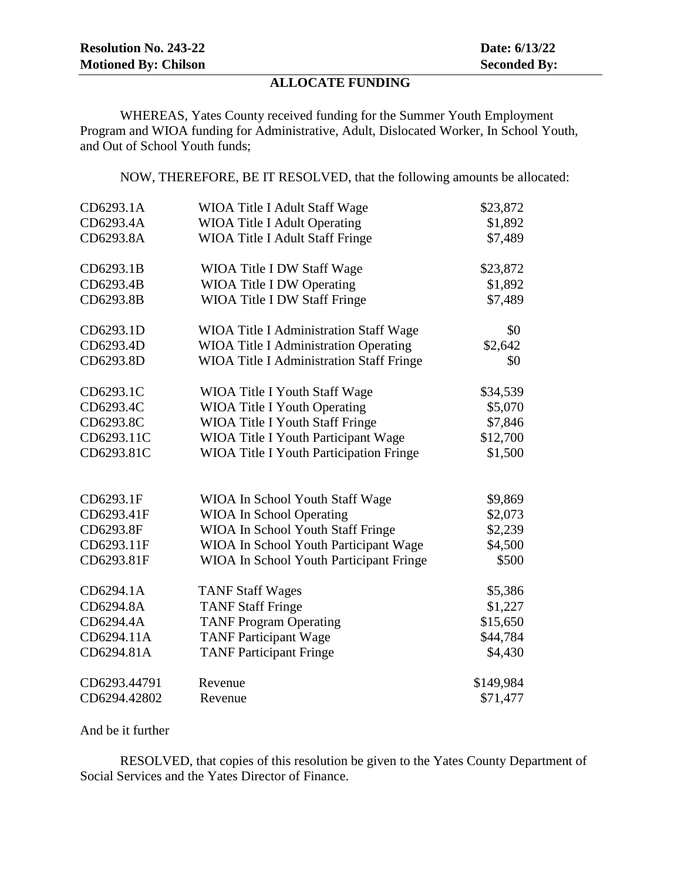# **ALLOCATE FUNDING**

WHEREAS, Yates County received funding for the Summer Youth Employment Program and WIOA funding for Administrative, Adult, Dislocated Worker, In School Youth, and Out of School Youth funds;

NOW, THEREFORE, BE IT RESOLVED, that the following amounts be allocated:

| CD6293.1A    | WIOA Title I Adult Staff Wage                   | \$23,872  |
|--------------|-------------------------------------------------|-----------|
| CD6293.4A    | <b>WIOA Title I Adult Operating</b>             | \$1,892   |
| CD6293.8A    | WIOA Title I Adult Staff Fringe                 | \$7,489   |
| CD6293.1B    | WIOA Title I DW Staff Wage                      | \$23,872  |
| CD6293.4B    | <b>WIOA Title I DW Operating</b>                | \$1,892   |
| CD6293.8B    | <b>WIOA Title I DW Staff Fringe</b>             | \$7,489   |
| CD6293.1D    | <b>WIOA Title I Administration Staff Wage</b>   | \$0       |
| CD6293.4D    | <b>WIOA Title I Administration Operating</b>    | \$2,642   |
| CD6293.8D    | <b>WIOA Title I Administration Staff Fringe</b> | \$0       |
| CD6293.1C    | <b>WIOA Title I Youth Staff Wage</b>            | \$34,539  |
| CD6293.4C    | <b>WIOA Title I Youth Operating</b>             | \$5,070   |
| CD6293.8C    | <b>WIOA Title I Youth Staff Fringe</b>          | \$7,846   |
| CD6293.11C   | WIOA Title I Youth Participant Wage             | \$12,700  |
| CD6293.81C   | <b>WIOA Title I Youth Participation Fringe</b>  | \$1,500   |
|              |                                                 |           |
| CD6293.1F    | WIOA In School Youth Staff Wage                 | \$9,869   |
| CD6293.41F   | <b>WIOA In School Operating</b>                 | \$2,073   |
| CD6293.8F    | WIOA In School Youth Staff Fringe               | \$2,239   |
| CD6293.11F   | WIOA In School Youth Participant Wage           | \$4,500   |
| CD6293.81F   | WIOA In School Youth Participant Fringe         | \$500     |
| CD6294.1A    | <b>TANF Staff Wages</b>                         | \$5,386   |
| CD6294.8A    | <b>TANF Staff Fringe</b>                        | \$1,227   |
| CD6294.4A    | <b>TANF Program Operating</b>                   | \$15,650  |
| CD6294.11A   | <b>TANF Participant Wage</b>                    | \$44,784  |
| CD6294.81A   | <b>TANF Participant Fringe</b>                  | \$4,430   |
| CD6293.44791 | Revenue                                         | \$149,984 |
| CD6294.42802 | Revenue                                         | \$71,477  |

And be it further

RESOLVED, that copies of this resolution be given to the Yates County Department of Social Services and the Yates Director of Finance.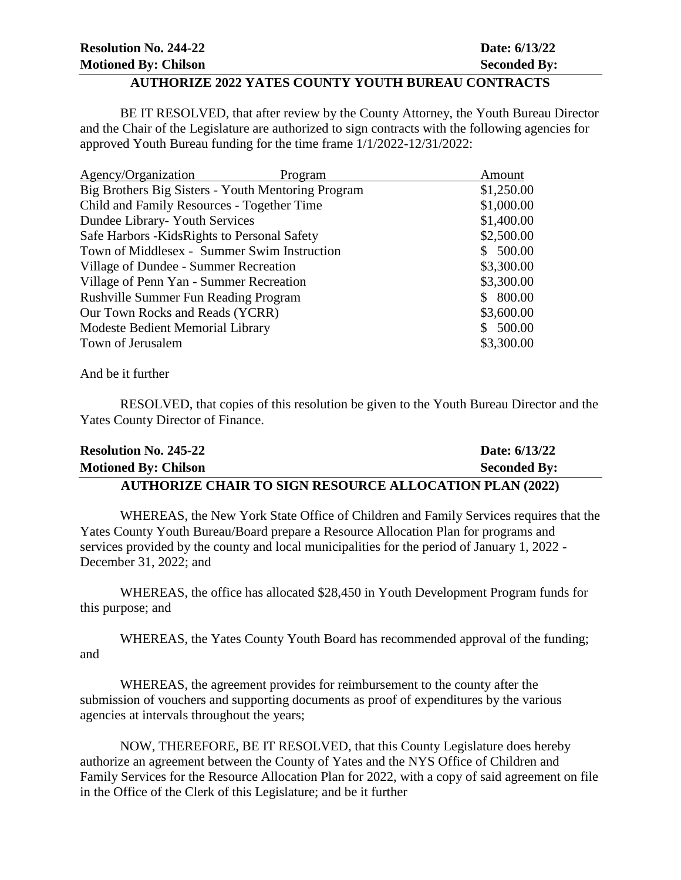| <b>Resolution No. 244-22</b> | Date: 6/13/22       |
|------------------------------|---------------------|
| <b>Motioned By: Chilson</b>  | <b>Seconded By:</b> |
|                              |                     |

#### **AUTHORIZE 2022 YATES COUNTY YOUTH BUREAU CONTRACTS**

BE IT RESOLVED, that after review by the County Attorney, the Youth Bureau Director and the Chair of the Legislature are authorized to sign contracts with the following agencies for approved Youth Bureau funding for the time frame 1/1/2022-12/31/2022:

| Agency/Organization<br>Program                     | Amount     |
|----------------------------------------------------|------------|
| Big Brothers Big Sisters - Youth Mentoring Program | \$1,250.00 |
| Child and Family Resources - Together Time         | \$1,000.00 |
| Dundee Library- Youth Services                     | \$1,400.00 |
| Safe Harbors - Kids Rights to Personal Safety      | \$2,500.00 |
| Town of Middlesex - Summer Swim Instruction        | \$500.00   |
| Village of Dundee - Summer Recreation              | \$3,300.00 |
| Village of Penn Yan - Summer Recreation            | \$3,300.00 |
| <b>Rushville Summer Fun Reading Program</b>        | 800.00     |
| Our Town Rocks and Reads (YCRR)                    | \$3,600.00 |
| Modeste Bedient Memorial Library                   | \$500.00   |
| Town of Jerusalem                                  | \$3,300.00 |

And be it further

RESOLVED, that copies of this resolution be given to the Youth Bureau Director and the Yates County Director of Finance.

| <b>Resolution No. 245-22</b>                                   | Date: 6/13/22       |
|----------------------------------------------------------------|---------------------|
| <b>Motioned By: Chilson</b>                                    | <b>Seconded By:</b> |
| <b>AUTHORIZE CHAIR TO SIGN RESOURCE ALLOCATION PLAN (2022)</b> |                     |

WHEREAS, the New York State Office of Children and Family Services requires that the Yates County Youth Bureau/Board prepare a Resource Allocation Plan for programs and services provided by the county and local municipalities for the period of January 1, 2022 - December 31, 2022; and

WHEREAS, the office has allocated \$28,450 in Youth Development Program funds for this purpose; and

WHEREAS, the Yates County Youth Board has recommended approval of the funding; and

WHEREAS, the agreement provides for reimbursement to the county after the submission of vouchers and supporting documents as proof of expenditures by the various agencies at intervals throughout the years;

NOW, THEREFORE, BE IT RESOLVED, that this County Legislature does hereby authorize an agreement between the County of Yates and the NYS Office of Children and Family Services for the Resource Allocation Plan for 2022, with a copy of said agreement on file in the Office of the Clerk of this Legislature; and be it further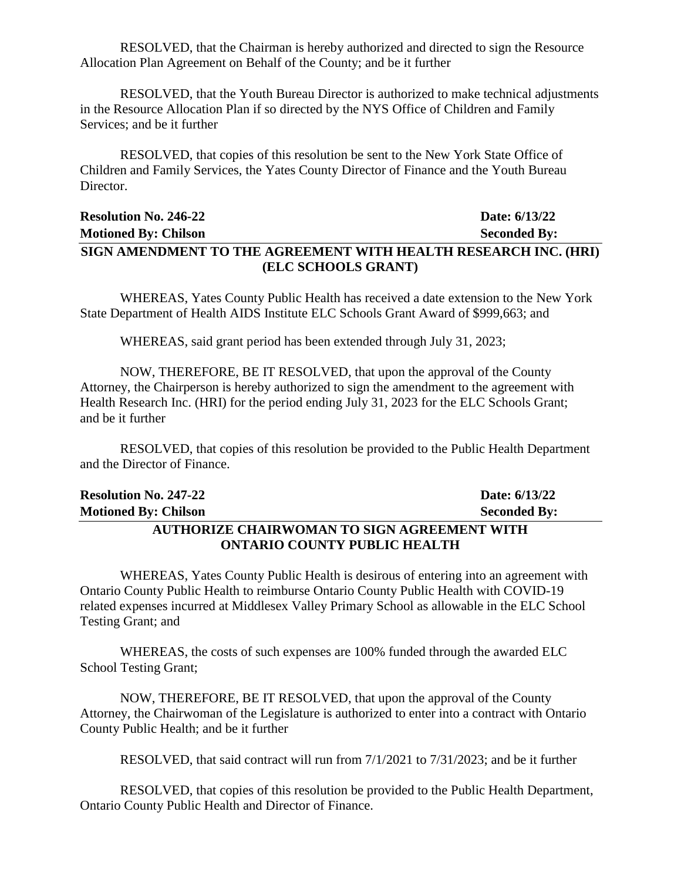RESOLVED, that the Chairman is hereby authorized and directed to sign the Resource Allocation Plan Agreement on Behalf of the County; and be it further

RESOLVED, that the Youth Bureau Director is authorized to make technical adjustments in the Resource Allocation Plan if so directed by the NYS Office of Children and Family Services; and be it further

RESOLVED, that copies of this resolution be sent to the New York State Office of Children and Family Services, the Yates County Director of Finance and the Youth Bureau Director.

# **Resolution No. 246-22 Date: 6/13/22 Motioned By: Chilson Seconded By: SIGN AMENDMENT TO THE AGREEMENT WITH HEALTH RESEARCH INC. (HRI) (ELC SCHOOLS GRANT)**

WHEREAS, Yates County Public Health has received a date extension to the New York State Department of Health AIDS Institute ELC Schools Grant Award of \$999,663; and

WHEREAS, said grant period has been extended through July 31, 2023;

NOW, THEREFORE, BE IT RESOLVED, that upon the approval of the County Attorney, the Chairperson is hereby authorized to sign the amendment to the agreement with Health Research Inc. (HRI) for the period ending July 31, 2023 for the ELC Schools Grant; and be it further

RESOLVED, that copies of this resolution be provided to the Public Health Department and the Director of Finance.

| <b>Resolution No. 247-22</b>                       | Date: 6/13/22       |  |
|----------------------------------------------------|---------------------|--|
| <b>Motioned By: Chilson</b>                        | <b>Seconded By:</b> |  |
| <b>AUTHORIZE CHAIRWOMAN TO SIGN AGREEMENT WITH</b> |                     |  |
| <b>ONTARIO COUNTY PUBLIC HEALTH</b>                |                     |  |

WHEREAS, Yates County Public Health is desirous of entering into an agreement with Ontario County Public Health to reimburse Ontario County Public Health with COVID-19 related expenses incurred at Middlesex Valley Primary School as allowable in the ELC School Testing Grant; and

WHEREAS, the costs of such expenses are 100% funded through the awarded ELC School Testing Grant;

NOW, THEREFORE, BE IT RESOLVED, that upon the approval of the County Attorney, the Chairwoman of the Legislature is authorized to enter into a contract with Ontario County Public Health; and be it further

RESOLVED, that said contract will run from 7/1/2021 to 7/31/2023; and be it further

RESOLVED, that copies of this resolution be provided to the Public Health Department, Ontario County Public Health and Director of Finance.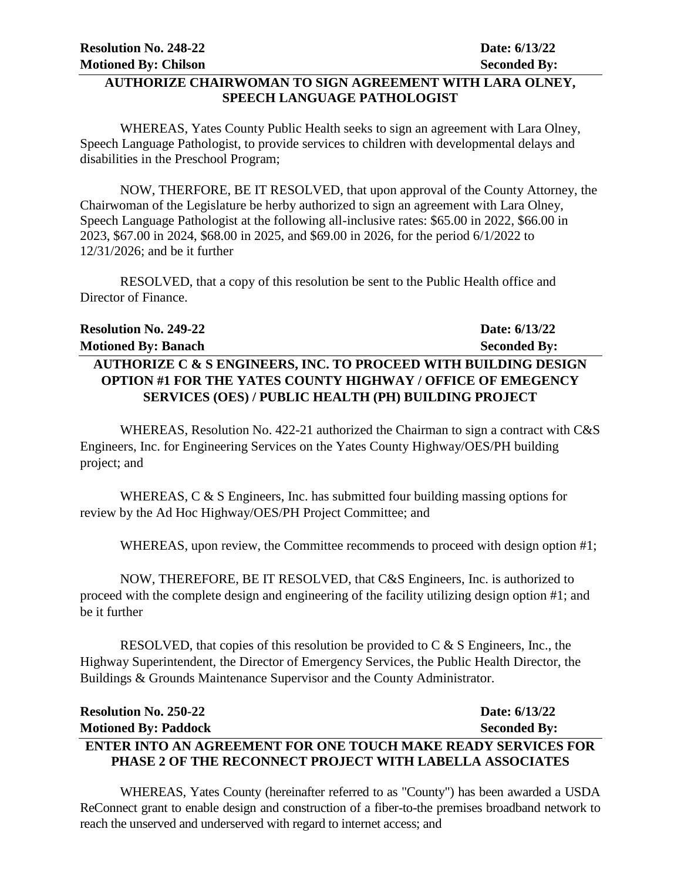## **AUTHORIZE CHAIRWOMAN TO SIGN AGREEMENT WITH LARA OLNEY, SPEECH LANGUAGE PATHOLOGIST**

WHEREAS, Yates County Public Health seeks to sign an agreement with Lara Olney, Speech Language Pathologist, to provide services to children with developmental delays and disabilities in the Preschool Program;

NOW, THERFORE, BE IT RESOLVED, that upon approval of the County Attorney, the Chairwoman of the Legislature be herby authorized to sign an agreement with Lara Olney, Speech Language Pathologist at the following all-inclusive rates: \$65.00 in 2022, \$66.00 in 2023, \$67.00 in 2024, \$68.00 in 2025, and \$69.00 in 2026, for the period 6/1/2022 to 12/31/2026; and be it further

RESOLVED, that a copy of this resolution be sent to the Public Health office and Director of Finance.

| <b>Resolution No. 249-22</b>                                               | Date: 6/13/22       |
|----------------------------------------------------------------------------|---------------------|
| <b>Motioned By: Banach</b>                                                 | <b>Seconded By:</b> |
| <b>AUTHORIZE C &amp; S ENGINEERS, INC. TO PROCEED WITH BUILDING DESIGN</b> |                     |
| <b>OPTION #1 FOR THE YATES COUNTY HIGHWAY / OFFICE OF EMEGENCY</b>         |                     |
| SERVICES (OES) / PUBLIC HEALTH (PH) BUILDING PROJECT                       |                     |

WHEREAS, Resolution No. 422-21 authorized the Chairman to sign a contract with C&S Engineers, Inc. for Engineering Services on the Yates County Highway/OES/PH building project; and

WHEREAS, C & S Engineers, Inc. has submitted four building massing options for review by the Ad Hoc Highway/OES/PH Project Committee; and

WHEREAS, upon review, the Committee recommends to proceed with design option #1;

NOW, THEREFORE, BE IT RESOLVED, that C&S Engineers, Inc. is authorized to proceed with the complete design and engineering of the facility utilizing design option #1; and be it further

RESOLVED, that copies of this resolution be provided to  $C & S$  Engineers, Inc., the Highway Superintendent, the Director of Emergency Services, the Public Health Director, the Buildings & Grounds Maintenance Supervisor and the County Administrator.

| <b>Resolution No. 250-22</b>                                         | Date: 6/13/22       |
|----------------------------------------------------------------------|---------------------|
| <b>Motioned By: Paddock</b>                                          | <b>Seconded By:</b> |
| <b>ENTER INTO AN AGREEMENT FOR ONE TOUCH MAKE READY SERVICES FOR</b> |                     |
| <b>PHASE 2 OF THE RECONNECT PROJECT WITH LABELLA ASSOCIATES</b>      |                     |

WHEREAS, Yates County (hereinafter referred to as "County") has been awarded a USDA ReConnect grant to enable design and construction of a fiber-to-the premises broadband network to reach the unserved and underserved with regard to internet access; and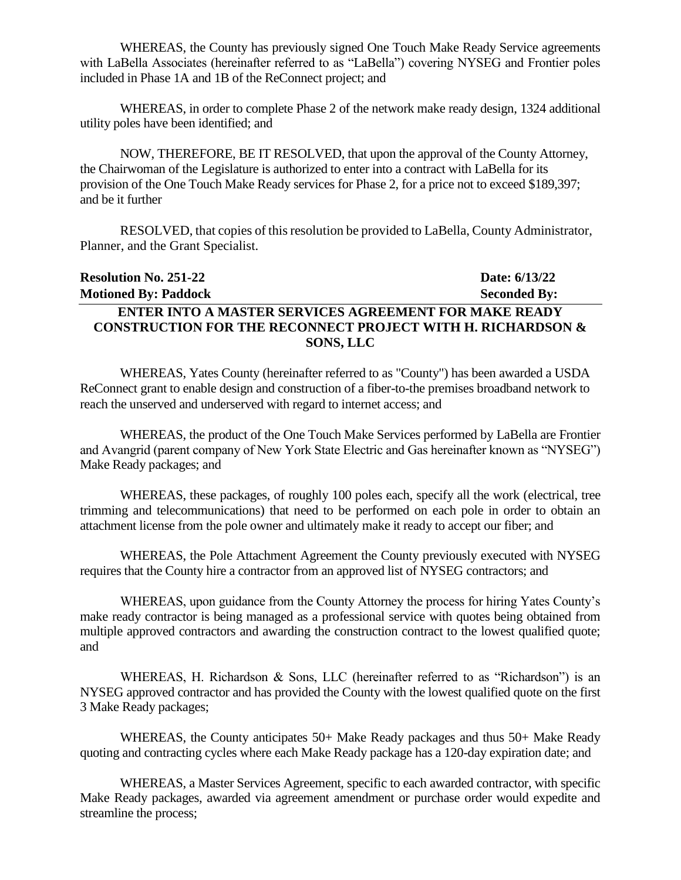WHEREAS, the County has previously signed One Touch Make Ready Service agreements with LaBella Associates (hereinafter referred to as "LaBella") covering NYSEG and Frontier poles included in Phase 1A and 1B of the ReConnect project; and

WHEREAS, in order to complete Phase 2 of the network make ready design, 1324 additional utility poles have been identified; and

NOW, THEREFORE, BE IT RESOLVED, that upon the approval of the County Attorney, the Chairwoman of the Legislature is authorized to enter into a contract with LaBella for its provision of the One Touch Make Ready services for Phase 2, for a price not to exceed \$189,397; and be it further

RESOLVED, that copies of this resolution be provided to LaBella, County Administrator, Planner, and the Grant Specialist.

# **Resolution No. 251-22 Date: 6/13/22 Motioned By: Paddock Seconded By: ENTER INTO A MASTER SERVICES AGREEMENT FOR MAKE READY CONSTRUCTION FOR THE RECONNECT PROJECT WITH H. RICHARDSON & SONS, LLC**

WHEREAS, Yates County (hereinafter referred to as "County") has been awarded a USDA ReConnect grant to enable design and construction of a fiber-to-the premises broadband network to reach the unserved and underserved with regard to internet access; and

WHEREAS, the product of the One Touch Make Services performed by LaBella are Frontier and Avangrid (parent company of New York State Electric and Gas hereinafter known as "NYSEG") Make Ready packages; and

WHEREAS, these packages, of roughly 100 poles each, specify all the work (electrical, tree trimming and telecommunications) that need to be performed on each pole in order to obtain an attachment license from the pole owner and ultimately make it ready to accept our fiber; and

WHEREAS, the Pole Attachment Agreement the County previously executed with NYSEG requires that the County hire a contractor from an approved list of NYSEG contractors; and

WHEREAS, upon guidance from the County Attorney the process for hiring Yates County's make ready contractor is being managed as a professional service with quotes being obtained from multiple approved contractors and awarding the construction contract to the lowest qualified quote; and

WHEREAS, H. Richardson & Sons, LLC (hereinafter referred to as "Richardson") is an NYSEG approved contractor and has provided the County with the lowest qualified quote on the first 3 Make Ready packages;

WHEREAS, the County anticipates 50+ Make Ready packages and thus 50+ Make Ready quoting and contracting cycles where each Make Ready package has a 120-day expiration date; and

WHEREAS, a Master Services Agreement, specific to each awarded contractor, with specific Make Ready packages, awarded via agreement amendment or purchase order would expedite and streamline the process;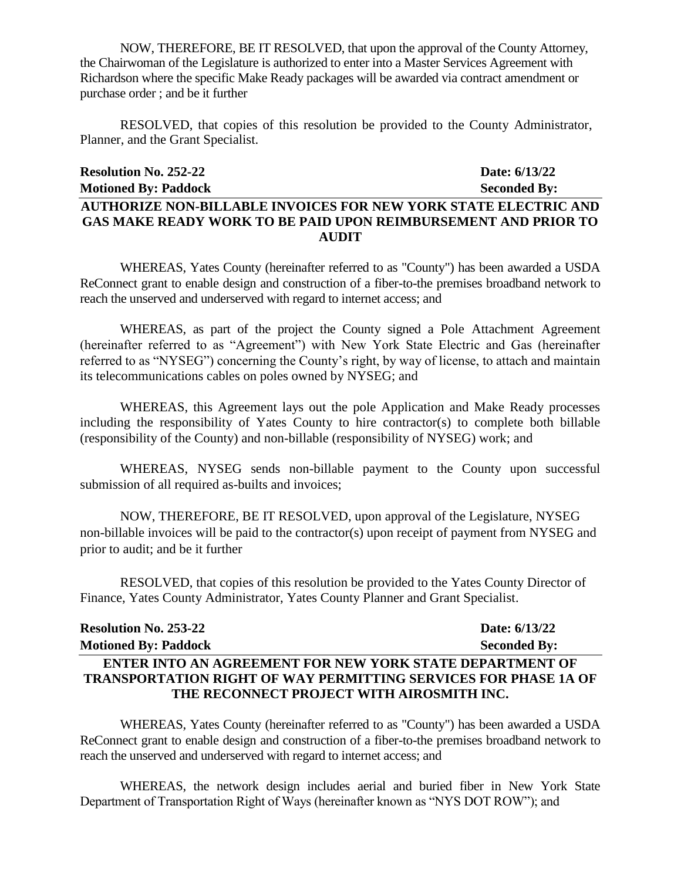NOW, THEREFORE, BE IT RESOLVED, that upon the approval of the County Attorney, the Chairwoman of the Legislature is authorized to enter into a Master Services Agreement with Richardson where the specific Make Ready packages will be awarded via contract amendment or purchase order ; and be it further

RESOLVED, that copies of this resolution be provided to the County Administrator, Planner, and the Grant Specialist.

# **Resolution No. 252-22 Date: 6/13/22 Motioned By: Paddock Seconded By: AUTHORIZE NON-BILLABLE INVOICES FOR NEW YORK STATE ELECTRIC AND GAS MAKE READY WORK TO BE PAID UPON REIMBURSEMENT AND PRIOR TO AUDIT**

WHEREAS, Yates County (hereinafter referred to as "County") has been awarded a USDA ReConnect grant to enable design and construction of a fiber-to-the premises broadband network to reach the unserved and underserved with regard to internet access; and

WHEREAS, as part of the project the County signed a Pole Attachment Agreement (hereinafter referred to as "Agreement") with New York State Electric and Gas (hereinafter referred to as "NYSEG") concerning the County's right, by way of license, to attach and maintain its telecommunications cables on poles owned by NYSEG; and

WHEREAS, this Agreement lays out the pole Application and Make Ready processes including the responsibility of Yates County to hire contractor(s) to complete both billable (responsibility of the County) and non-billable (responsibility of NYSEG) work; and

WHEREAS, NYSEG sends non-billable payment to the County upon successful submission of all required as-builts and invoices;

NOW, THEREFORE, BE IT RESOLVED, upon approval of the Legislature, NYSEG non-billable invoices will be paid to the contractor(s) upon receipt of payment from NYSEG and prior to audit; and be it further

RESOLVED, that copies of this resolution be provided to the Yates County Director of Finance, Yates County Administrator, Yates County Planner and Grant Specialist.

| <b>Resolution No. 253-22</b>                                           | Date: 6/13/22       |
|------------------------------------------------------------------------|---------------------|
| <b>Motioned By: Paddock</b>                                            | <b>Seconded By:</b> |
| ENTER INTO AN AGREEMENT FOR NEW YORK STATE DEPARTMENT OF               |                     |
| <b>TRANSPORTATION RIGHT OF WAY PERMITTING SERVICES FOR PHASE 1A OF</b> |                     |
| THE RECONNECT PROJECT WITH AIROSMITH INC.                              |                     |

WHEREAS, Yates County (hereinafter referred to as "County") has been awarded a USDA ReConnect grant to enable design and construction of a fiber-to-the premises broadband network to reach the unserved and underserved with regard to internet access; and

WHEREAS, the network design includes aerial and buried fiber in New York State Department of Transportation Right of Ways (hereinafter known as "NYS DOT ROW"); and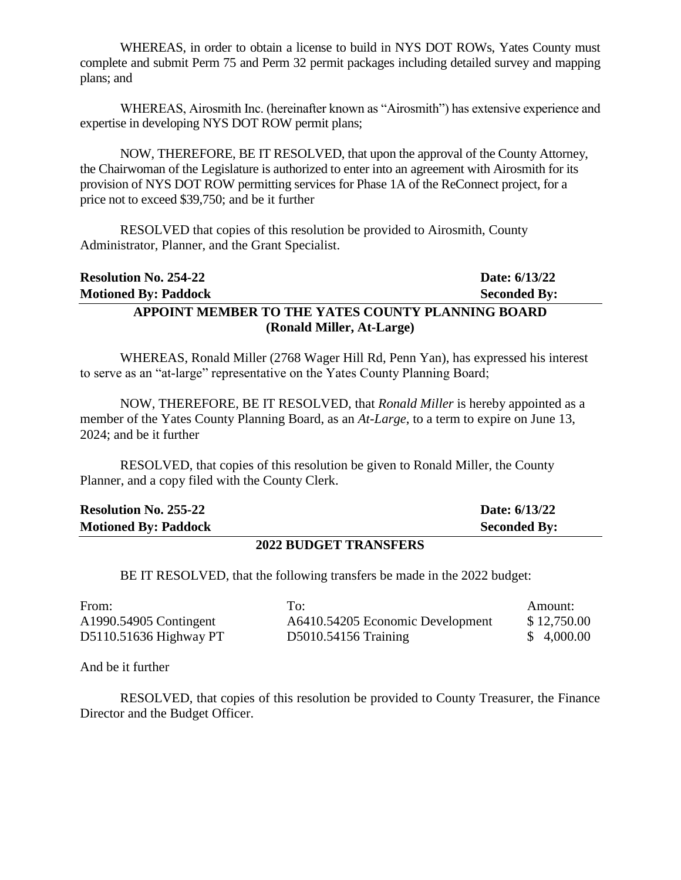WHEREAS, in order to obtain a license to build in NYS DOT ROWs, Yates County must complete and submit Perm 75 and Perm 32 permit packages including detailed survey and mapping plans; and

WHEREAS, Airosmith Inc. (hereinafter known as "Airosmith") has extensive experience and expertise in developing NYS DOT ROW permit plans;

NOW, THEREFORE, BE IT RESOLVED, that upon the approval of the County Attorney, the Chairwoman of the Legislature is authorized to enter into an agreement with Airosmith for its provision of NYS DOT ROW permitting services for Phase 1A of the ReConnect project, for a price not to exceed \$39,750; and be it further

RESOLVED that copies of this resolution be provided to Airosmith, County Administrator, Planner, and the Grant Specialist.

| <b>Resolution No. 254-22</b>                      | Date: 6/13/22       |  |
|---------------------------------------------------|---------------------|--|
| <b>Motioned By: Paddock</b>                       | <b>Seconded By:</b> |  |
| APPOINT MEMBER TO THE YATES COUNTY PLANNING BOARD |                     |  |
| (Ronald Miller, At-Large)                         |                     |  |

WHEREAS, Ronald Miller (2768 Wager Hill Rd, Penn Yan), has expressed his interest to serve as an "at-large" representative on the Yates County Planning Board;

NOW, THEREFORE, BE IT RESOLVED, that *Ronald Miller* is hereby appointed as a member of the Yates County Planning Board, as an *At-Large*, to a term to expire on June 13, 2024; and be it further

RESOLVED, that copies of this resolution be given to Ronald Miller, the County Planner, and a copy filed with the County Clerk.

| <b>Resolution No. 255-22</b> | Date: 6/13/22       |
|------------------------------|---------------------|
| <b>Motioned By: Paddock</b>  | <b>Seconded By:</b> |

#### **2022 BUDGET TRANSFERS**

BE IT RESOLVED, that the following transfers be made in the 2022 budget:

| From:                  | To:                              | Amount:     |
|------------------------|----------------------------------|-------------|
| A1990.54905 Contingent | A6410.54205 Economic Development | \$12,750.00 |
| D5110.51636 Highway PT | D5010.54156 Training             | \$4,000.00  |

And be it further

RESOLVED, that copies of this resolution be provided to County Treasurer, the Finance Director and the Budget Officer.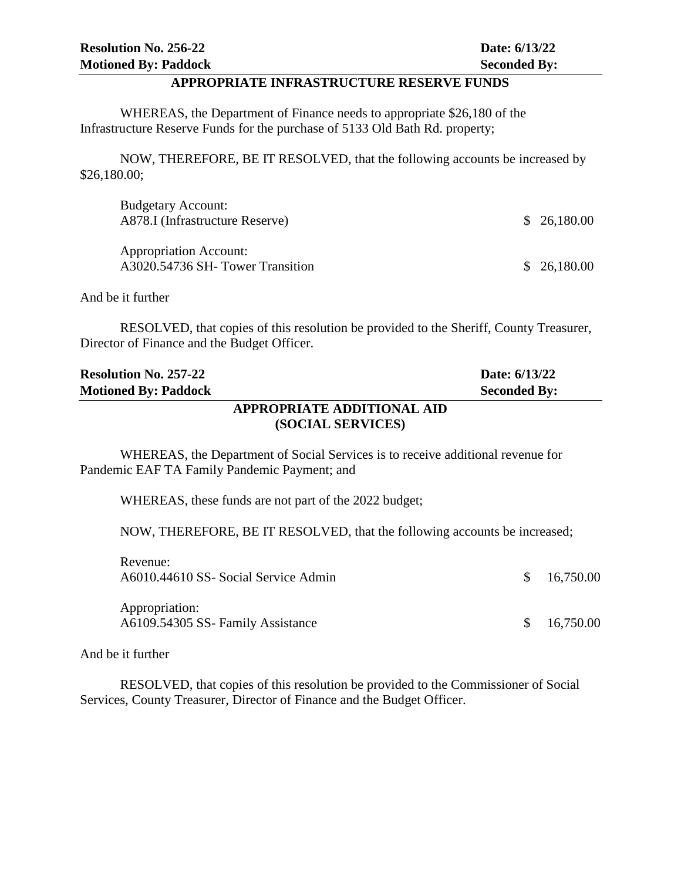#### **APPROPRIATE INFRASTRUCTURE RESERVE FUNDS**

WHEREAS, the Department of Finance needs to appropriate \$26,180 of the Infrastructure Reserve Funds for the purchase of 5133 Old Bath Rd. property;

NOW, THEREFORE, BE IT RESOLVED, that the following accounts be increased by \$26,180.00;

| <b>Budgetary Account:</b><br>A878.I (Infrastructure Reserve)     | \$26,180.00 |
|------------------------------------------------------------------|-------------|
| <b>Appropriation Account:</b><br>A3020.54736 SH-Tower Transition | \$26,180.00 |

And be it further

RESOLVED, that copies of this resolution be provided to the Sheriff, County Treasurer, Director of Finance and the Budget Officer.

| <b>Resolution No. 257-22</b> | Date: 6/13/22       |
|------------------------------|---------------------|
| <b>Motioned By: Paddock</b>  | <b>Seconded By:</b> |
| APPROPRIATE ADDITIONAL AID   |                     |
| (SOCIAL SERVICES)            |                     |

WHEREAS, the Department of Social Services is to receive additional revenue for Pandemic EAF TA Family Pandemic Payment; and

WHEREAS, these funds are not part of the 2022 budget;

NOW, THEREFORE, BE IT RESOLVED, that the following accounts be increased;

| Revenue:<br>A6010.44610 SS- Social Service Admin    | \$16,750.00 |
|-----------------------------------------------------|-------------|
| Appropriation:<br>A6109.54305 SS- Family Assistance | \$16,750.00 |

And be it further

RESOLVED, that copies of this resolution be provided to the Commissioner of Social Services, County Treasurer, Director of Finance and the Budget Officer.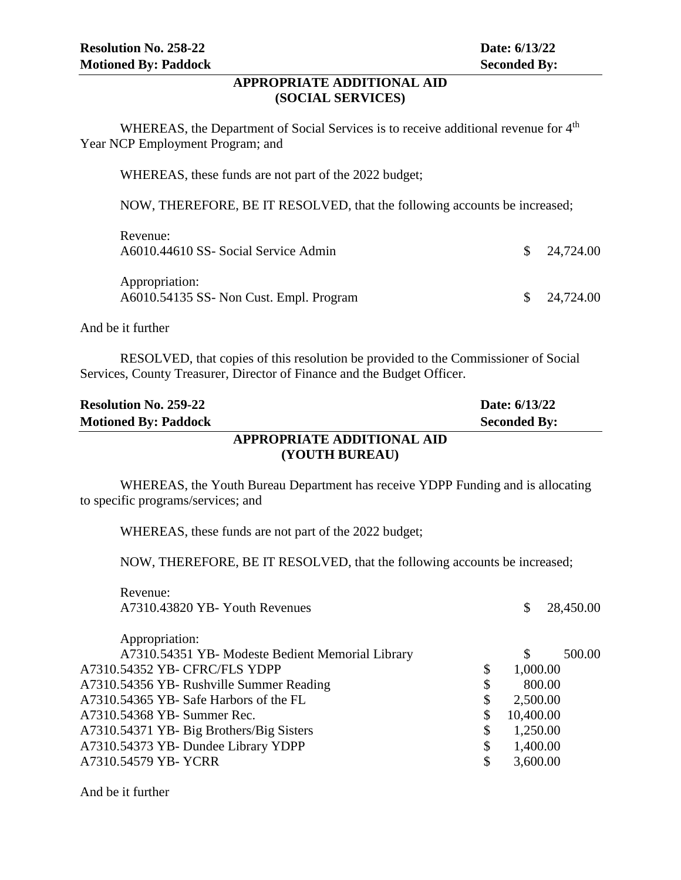## **APPROPRIATE ADDITIONAL AID (SOCIAL SERVICES)**

WHEREAS, the Department of Social Services is to receive additional revenue for 4<sup>th</sup> Year NCP Employment Program; and

WHEREAS, these funds are not part of the 2022 budget;

NOW, THEREFORE, BE IT RESOLVED, that the following accounts be increased;

| Revenue:<br>A6010.44610 SS- Social Service Admin          | $\frac{\$}{24,724.00}$ |
|-----------------------------------------------------------|------------------------|
| Appropriation:<br>A6010.54135 SS- Non Cust. Empl. Program | $\frac{\$}{24,724.00}$ |

And be it further

RESOLVED, that copies of this resolution be provided to the Commissioner of Social Services, County Treasurer, Director of Finance and the Budget Officer.

| <b>Resolution No. 259-22</b> | Date: 6/13/22              |
|------------------------------|----------------------------|
| <b>Motioned By: Paddock</b>  | <b>Seconded By:</b>        |
|                              | APPROPRIATE ADDITIONAL AID |
|                              | (YOUTH BUREAU)             |

WHEREAS, the Youth Bureau Department has receive YDPP Funding and is allocating to specific programs/services; and

WHEREAS, these funds are not part of the 2022 budget;

NOW, THEREFORE, BE IT RESOLVED, that the following accounts be increased;

| 28,450.00<br>\$ |
|-----------------|
|                 |
| 500.00<br>\$    |
| 1,000.00        |
| 800.00          |
| 2,500.00        |
| 10,400.00       |
| 1,250.00        |
| 1,400.00        |
| 3,600.00        |
|                 |

And be it further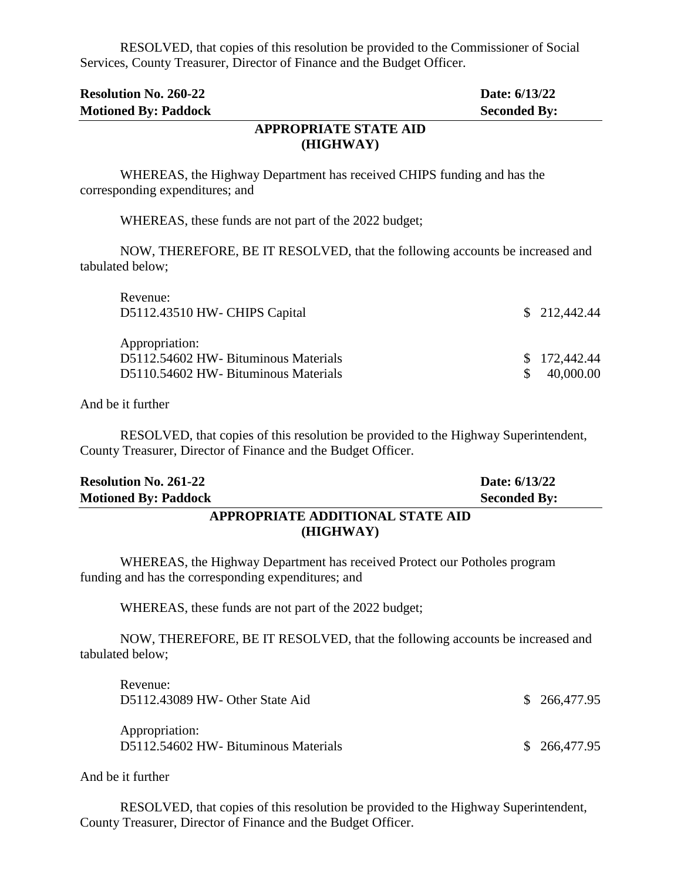RESOLVED, that copies of this resolution be provided to the Commissioner of Social Services, County Treasurer, Director of Finance and the Budget Officer.

| <b>Resolution No. 260-22</b>                                                                              | Date: 6/13/22                       |
|-----------------------------------------------------------------------------------------------------------|-------------------------------------|
| <b>Motioned By: Paddock</b><br><b>APPROPRIATE STATE AID</b><br>(HIGHWAY)                                  | <b>Seconded By:</b>                 |
| WHEREAS, the Highway Department has received CHIPS funding and has the<br>corresponding expenditures; and |                                     |
| WHEREAS, these funds are not part of the 2022 budget;                                                     |                                     |
| NOW, THEREFORE, BE IT RESOLVED, that the following accounts be increased and<br>tabulated below;          |                                     |
| Revenue:<br>D5112.43510 HW- CHIPS Capital                                                                 | \$212,442.44                        |
| Appropriation:<br>D5112.54602 HW- Bituminous Materials<br>D5110.54602 HW- Bituminous Materials            | 172,442.44<br>\$<br>\$<br>40,000.00 |

And be it further

RESOLVED, that copies of this resolution be provided to the Highway Superintendent, County Treasurer, Director of Finance and the Budget Officer.

| <b>Resolution No. 261-22</b>     | Date: 6/13/22       |
|----------------------------------|---------------------|
| <b>Motioned By: Paddock</b>      | <b>Seconded By:</b> |
| APPROPRIATE ADDITIONAL STATE AID |                     |

# **(HIGHWAY)**

WHEREAS, the Highway Department has received Protect our Potholes program funding and has the corresponding expenditures; and

WHEREAS, these funds are not part of the 2022 budget;

NOW, THEREFORE, BE IT RESOLVED, that the following accounts be increased and tabulated below;

| Revenue:<br>D5112.43089 HW- Other State Aid            | \$ 266,477.95 |
|--------------------------------------------------------|---------------|
| Appropriation:<br>D5112.54602 HW- Bituminous Materials | \$266,477.95  |

And be it further

RESOLVED, that copies of this resolution be provided to the Highway Superintendent, County Treasurer, Director of Finance and the Budget Officer.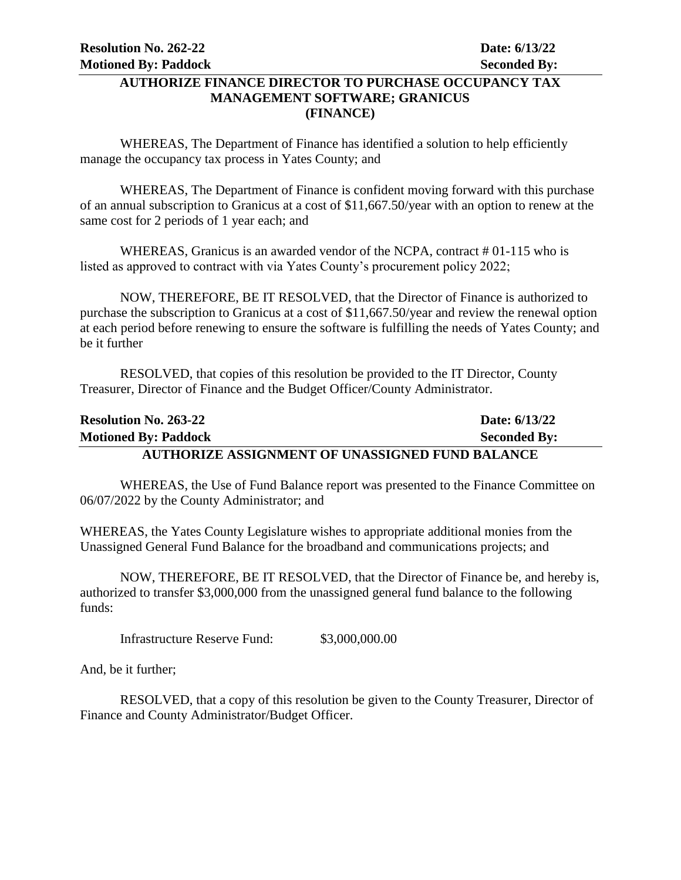## **AUTHORIZE FINANCE DIRECTOR TO PURCHASE OCCUPANCY TAX MANAGEMENT SOFTWARE; GRANICUS (FINANCE)**

WHEREAS, The Department of Finance has identified a solution to help efficiently manage the occupancy tax process in Yates County; and

WHEREAS, The Department of Finance is confident moving forward with this purchase of an annual subscription to Granicus at a cost of \$11,667.50/year with an option to renew at the same cost for 2 periods of 1 year each; and

WHEREAS, Granicus is an awarded vendor of the NCPA, contract # 01-115 who is listed as approved to contract with via Yates County's procurement policy 2022;

NOW, THEREFORE, BE IT RESOLVED, that the Director of Finance is authorized to purchase the subscription to Granicus at a cost of \$11,667.50/year and review the renewal option at each period before renewing to ensure the software is fulfilling the needs of Yates County; and be it further

RESOLVED, that copies of this resolution be provided to the IT Director, County Treasurer, Director of Finance and the Budget Officer/County Administrator.

| <b>Resolution No. 263-22</b>                           | Date: 6/13/22       |
|--------------------------------------------------------|---------------------|
| <b>Motioned By: Paddock</b>                            | <b>Seconded By:</b> |
| <b>AUTHORIZE ASSIGNMENT OF UNASSIGNED FUND BALANCE</b> |                     |

WHEREAS, the Use of Fund Balance report was presented to the Finance Committee on 06/07/2022 by the County Administrator; and

WHEREAS, the Yates County Legislature wishes to appropriate additional monies from the Unassigned General Fund Balance for the broadband and communications projects; and

NOW, THEREFORE, BE IT RESOLVED, that the Director of Finance be, and hereby is, authorized to transfer \$3,000,000 from the unassigned general fund balance to the following funds:

Infrastructure Reserve Fund: \$3,000,000.00

And, be it further;

RESOLVED, that a copy of this resolution be given to the County Treasurer, Director of Finance and County Administrator/Budget Officer.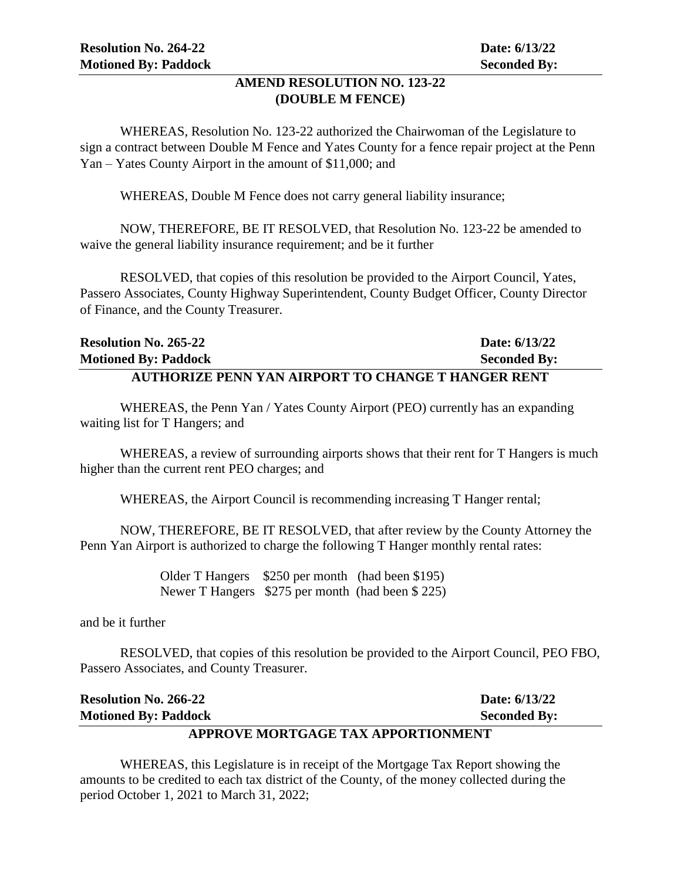## **AMEND RESOLUTION NO. 123-22 (DOUBLE M FENCE)**

WHEREAS, Resolution No. 123-22 authorized the Chairwoman of the Legislature to sign a contract between Double M Fence and Yates County for a fence repair project at the Penn Yan – Yates County Airport in the amount of \$11,000; and

WHEREAS, Double M Fence does not carry general liability insurance;

NOW, THEREFORE, BE IT RESOLVED, that Resolution No. 123-22 be amended to waive the general liability insurance requirement; and be it further

RESOLVED, that copies of this resolution be provided to the Airport Council, Yates, Passero Associates, County Highway Superintendent, County Budget Officer, County Director of Finance, and the County Treasurer.

| <b>Resolution No. 265-22</b>                              | Date: 6/13/22       |
|-----------------------------------------------------------|---------------------|
| <b>Motioned By: Paddock</b>                               | <b>Seconded By:</b> |
| <b>AUTHORIZE PENN YAN AIRPORT TO CHANGE T HANGER RENT</b> |                     |

WHEREAS, the Penn Yan / Yates County Airport (PEO) currently has an expanding waiting list for T Hangers; and

WHEREAS, a review of surrounding airports shows that their rent for T Hangers is much higher than the current rent PEO charges; and

WHEREAS, the Airport Council is recommending increasing T Hanger rental;

NOW, THEREFORE, BE IT RESOLVED, that after review by the County Attorney the Penn Yan Airport is authorized to charge the following T Hanger monthly rental rates:

> Older T Hangers \$250 per month (had been \$195) Newer T Hangers \$275 per month (had been \$ 225)

and be it further

RESOLVED, that copies of this resolution be provided to the Airport Council, PEO FBO, Passero Associates, and County Treasurer.

| <b>Resolution No. 266-22</b>       | Date: 6/13/22       |  |
|------------------------------------|---------------------|--|
| <b>Motioned By: Paddock</b>        | <b>Seconded By:</b> |  |
| APPROVE MORTGAGE TAX APPORTIONMENT |                     |  |

WHEREAS, this Legislature is in receipt of the Mortgage Tax Report showing the amounts to be credited to each tax district of the County, of the money collected during the period October 1, 2021 to March 31, 2022;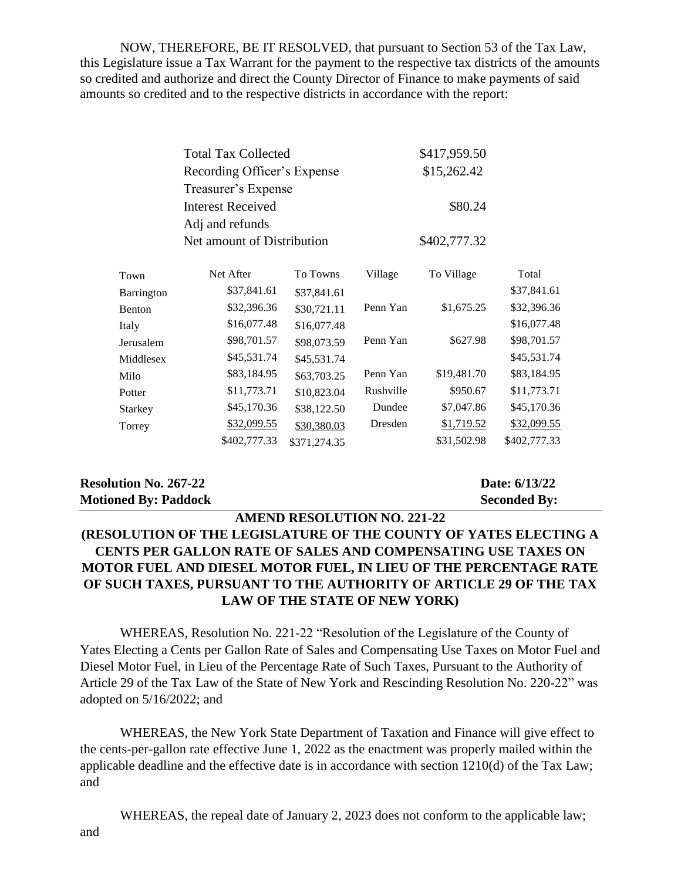NOW, THEREFORE, BE IT RESOLVED, that pursuant to Section 53 of the Tax Law, this Legislature issue a Tax Warrant for the payment to the respective tax districts of the amounts so credited and authorize and direct the County Director of Finance to make payments of said amounts so credited and to the respective districts in accordance with the report:

| <b>Total Tax Collected</b>  | \$417,959.50 |
|-----------------------------|--------------|
| Recording Officer's Expense | \$15,262.42  |
| Treasurer's Expense         |              |
| <b>Interest Received</b>    | \$80.24      |
| Adj and refunds             |              |
| Net amount of Distribution  | \$402,777.32 |
|                             |              |

| Town           | Net After    | To Towns     | Village   | To Village  | Total        |
|----------------|--------------|--------------|-----------|-------------|--------------|
| Barrington     | \$37,841.61  | \$37,841.61  |           |             | \$37,841.61  |
| <b>Benton</b>  | \$32,396.36  | \$30,721.11  | Penn Yan  | \$1,675.25  | \$32,396.36  |
| Italy          | \$16,077.48  | \$16,077.48  |           |             | \$16,077.48  |
| Jerusalem      | \$98,701.57  | \$98,073.59  | Penn Yan  | \$627.98    | \$98,701.57  |
| Middlesex      | \$45,531.74  | \$45,531.74  |           |             | \$45,531.74  |
| Milo           | \$83,184.95  | \$63,703.25  | Penn Yan  | \$19,481.70 | \$83,184.95  |
| Potter         | \$11,773.71  | \$10,823.04  | Rushville | \$950.67    | \$11,773.71  |
| <b>Starkey</b> | \$45,170.36  | \$38,122.50  | Dundee    | \$7,047.86  | \$45,170.36  |
| Torrey         | \$32,099.55  | \$30,380.03  | Dresden   | \$1,719.52  | \$32,099.55  |
|                | \$402,777.33 | \$371,274.35 |           | \$31,502.98 | \$402,777.33 |
|                |              |              |           |             |              |

## **Resolution No. 267-22 Date: 6/13/22 Motioned By: Paddock Seconded By:**

# **AMEND RESOLUTION NO. 221-22 (RESOLUTION OF THE LEGISLATURE OF THE COUNTY OF YATES ELECTING A CENTS PER GALLON RATE OF SALES AND COMPENSATING USE TAXES ON MOTOR FUEL AND DIESEL MOTOR FUEL, IN LIEU OF THE PERCENTAGE RATE OF SUCH TAXES, PURSUANT TO THE AUTHORITY OF ARTICLE 29 OF THE TAX LAW OF THE STATE OF NEW YORK)**

WHEREAS, Resolution No. 221-22 "Resolution of the Legislature of the County of Yates Electing a Cents per Gallon Rate of Sales and Compensating Use Taxes on Motor Fuel and Diesel Motor Fuel, in Lieu of the Percentage Rate of Such Taxes, Pursuant to the Authority of Article 29 of the Tax Law of the State of New York and Rescinding Resolution No. 220-22" was adopted on 5/16/2022; and

WHEREAS, the New York State Department of Taxation and Finance will give effect to the cents-per-gallon rate effective June 1, 2022 as the enactment was properly mailed within the applicable deadline and the effective date is in accordance with section 1210(d) of the Tax Law; and

WHEREAS, the repeal date of January 2, 2023 does not conform to the applicable law;